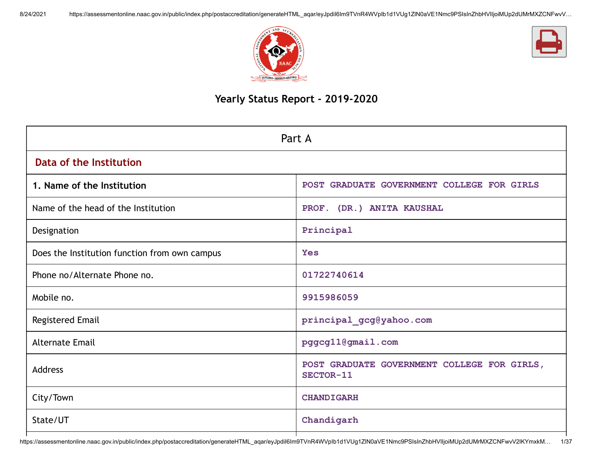



# **Yearly Status Report - 2019-2020**

| Part A                                        |                                                          |  |  |  |  |
|-----------------------------------------------|----------------------------------------------------------|--|--|--|--|
| Data of the Institution                       |                                                          |  |  |  |  |
| 1. Name of the Institution                    | POST GRADUATE GOVERNMENT COLLEGE FOR GIRLS               |  |  |  |  |
| Name of the head of the Institution           | PROF. (DR.) ANITA KAUSHAL                                |  |  |  |  |
| Designation                                   | Principal                                                |  |  |  |  |
| Does the Institution function from own campus | <b>Yes</b>                                               |  |  |  |  |
| Phone no/Alternate Phone no.                  | 01722740614                                              |  |  |  |  |
| Mobile no.                                    | 9915986059                                               |  |  |  |  |
| Registered Email                              | principal_gcg@yahoo.com                                  |  |  |  |  |
| <b>Alternate Email</b>                        | pggcg11@gmail.com                                        |  |  |  |  |
| <b>Address</b>                                | POST GRADUATE GOVERNMENT COLLEGE FOR GIRLS,<br>SECTOR-11 |  |  |  |  |
| City/Town                                     | <b>CHANDIGARH</b>                                        |  |  |  |  |
| State/UT                                      | Chandigarh                                               |  |  |  |  |

https://assessmentonline.naac.gov.in/public/index.php/postaccreditation/generateHTML\_aqar/eyJpdiI6Im9TVnR4WVpIb1d1VUg1ZlN0aVE1Nmc9PSIsInZhbHVlIjoiMUp2dUMrMXZCNFwvV2lKYmxkM… 1/37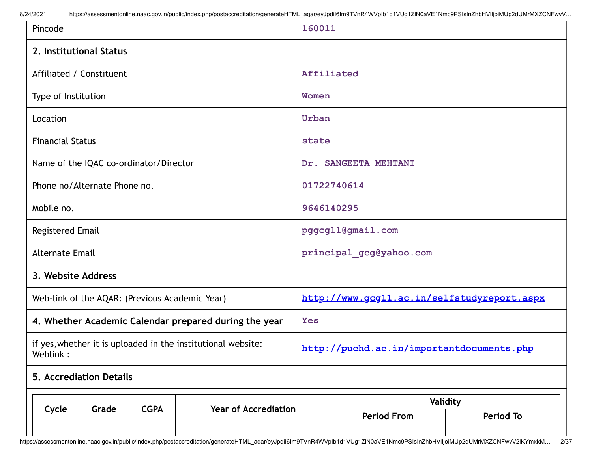8/24/2021 https://assessmentonline.naac.gov.in/public/index.php/postaccreditation/generateHTML aqar/eyJpdil6Im9TVnR4WVpIb1d1VUg1ZlN0aVE1Nmc9PSIsInZhbHVIIjoiMUp2dUMrMXZCNFwvV...

| Pincode                                                                  |                                        |             |                                                       | 160011                                      |                      |                  |  |  |  |
|--------------------------------------------------------------------------|----------------------------------------|-------------|-------------------------------------------------------|---------------------------------------------|----------------------|------------------|--|--|--|
|                                                                          | 2. Institutional Status                |             |                                                       |                                             |                      |                  |  |  |  |
|                                                                          | Affiliated / Constituent               |             |                                                       | Affiliated                                  |                      |                  |  |  |  |
| Type of Institution                                                      |                                        |             |                                                       | Women                                       |                      |                  |  |  |  |
| Location                                                                 |                                        |             |                                                       | Urban                                       |                      |                  |  |  |  |
| <b>Financial Status</b>                                                  |                                        |             |                                                       |                                             | state                |                  |  |  |  |
|                                                                          | Name of the IQAC co-ordinator/Director |             |                                                       |                                             | Dr. SANGEETA MEHTANI |                  |  |  |  |
| Phone no/Alternate Phone no.                                             |                                        |             |                                                       |                                             | 01722740614          |                  |  |  |  |
| Mobile no.                                                               |                                        |             |                                                       |                                             | 9646140295           |                  |  |  |  |
| Registered Email                                                         |                                        |             |                                                       | pggcg11@gmail.com                           |                      |                  |  |  |  |
| <b>Alternate Email</b>                                                   |                                        |             |                                                       | principal_gcg@yahoo.com                     |                      |                  |  |  |  |
| 3. Website Address                                                       |                                        |             |                                                       |                                             |                      |                  |  |  |  |
|                                                                          |                                        |             | Web-link of the AQAR: (Previous Academic Year)        | http://www.gcg11.ac.in/selfstudyreport.aspx |                      |                  |  |  |  |
|                                                                          |                                        |             | 4. Whether Academic Calendar prepared during the year | <b>Yes</b>                                  |                      |                  |  |  |  |
| if yes, whether it is uploaded in the institutional website:<br>Weblink: |                                        |             |                                                       | http://puchd.ac.in/importantdocuments.php   |                      |                  |  |  |  |
|                                                                          | 5. Accrediation Details                |             |                                                       |                                             |                      |                  |  |  |  |
|                                                                          | Grade                                  | <b>CGPA</b> | <b>Year of Accrediation</b>                           |                                             |                      | Validity         |  |  |  |
| Cycle                                                                    |                                        |             |                                                       |                                             | <b>Period From</b>   | <b>Period To</b> |  |  |  |
|                                                                          |                                        |             |                                                       |                                             |                      |                  |  |  |  |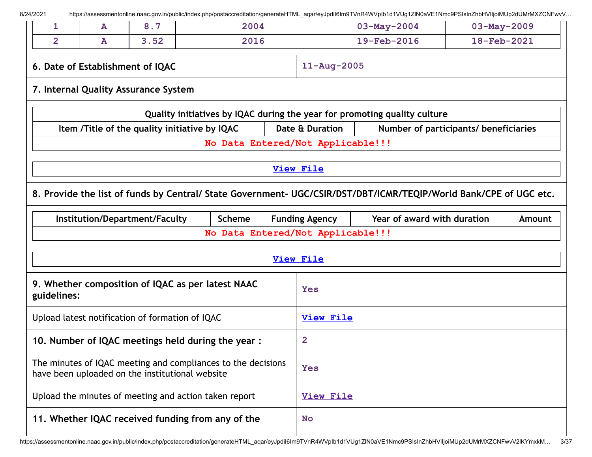| 8/24/2021<br>1                                                                                                  | ${\bf A}$                 | 8.7                                                   | 2004          |                  | https://assessmentonline.naac.gov.in/public/index.php/postaccreditation/generateHTML_aqar/eyJpdil6lm9TVnR4WVplb1d1VUg1ZlN0aVE1Nmc9PSIsInZhbHVIIjoiMUp2dUMrMXZCNFwvV<br>$03 - May - 2004$ |                                                                                                                   |  | $03-May-2009$ |  |
|-----------------------------------------------------------------------------------------------------------------|---------------------------|-------------------------------------------------------|---------------|------------------|------------------------------------------------------------------------------------------------------------------------------------------------------------------------------------------|-------------------------------------------------------------------------------------------------------------------|--|---------------|--|
| $\overline{2}$                                                                                                  | 3.52<br>2016<br>${\bf A}$ |                                                       |               |                  | 19-Feb-2016                                                                                                                                                                              | 18-Feb-2021                                                                                                       |  |               |  |
|                                                                                                                 |                           | 6. Date of Establishment of IQAC                      |               |                  | $11 - Aug - 2005$                                                                                                                                                                        |                                                                                                                   |  |               |  |
|                                                                                                                 |                           | 7. Internal Quality Assurance System                  |               |                  |                                                                                                                                                                                          |                                                                                                                   |  |               |  |
|                                                                                                                 |                           |                                                       |               |                  |                                                                                                                                                                                          | Quality initiatives by IQAC during the year for promoting quality culture                                         |  |               |  |
|                                                                                                                 |                           | Item /Title of the quality initiative by IQAC         |               |                  | Date & Duration                                                                                                                                                                          | Number of participants/ beneficiaries                                                                             |  |               |  |
|                                                                                                                 |                           |                                                       |               |                  | No Data Entered/Not Applicable!!!                                                                                                                                                        |                                                                                                                   |  |               |  |
|                                                                                                                 |                           |                                                       |               |                  | <b>View File</b>                                                                                                                                                                         |                                                                                                                   |  |               |  |
|                                                                                                                 |                           |                                                       |               |                  |                                                                                                                                                                                          | 8. Provide the list of funds by Central/ State Government- UGC/CSIR/DST/DBT/ICMR/TEQIP/World Bank/CPE of UGC etc. |  |               |  |
|                                                                                                                 |                           | Institution/Department/Faculty                        | <b>Scheme</b> |                  | <b>Funding Agency</b>                                                                                                                                                                    | Year of award with duration                                                                                       |  | Amount        |  |
|                                                                                                                 |                           |                                                       |               |                  | No Data Entered/Not Applicable!!!                                                                                                                                                        |                                                                                                                   |  |               |  |
|                                                                                                                 |                           |                                                       |               |                  | <b>View File</b>                                                                                                                                                                         |                                                                                                                   |  |               |  |
| guidelines:                                                                                                     |                           | 9. Whether composition of IQAC as per latest NAAC     |               |                  | <b>Yes</b>                                                                                                                                                                               |                                                                                                                   |  |               |  |
| Upload latest notification of formation of IQAC                                                                 |                           |                                                       |               | <b>View File</b> |                                                                                                                                                                                          |                                                                                                                   |  |               |  |
| 10. Number of IQAC meetings held during the year :                                                              |                           |                                                       |               | $\overline{2}$   |                                                                                                                                                                                          |                                                                                                                   |  |               |  |
| The minutes of IQAC meeting and compliances to the decisions<br>have been uploaded on the institutional website |                           |                                                       |               | <b>Yes</b>       |                                                                                                                                                                                          |                                                                                                                   |  |               |  |
|                                                                                                                 |                           |                                                       |               |                  |                                                                                                                                                                                          |                                                                                                                   |  |               |  |
|                                                                                                                 |                           | Upload the minutes of meeting and action taken report |               |                  | <b>View File</b>                                                                                                                                                                         |                                                                                                                   |  |               |  |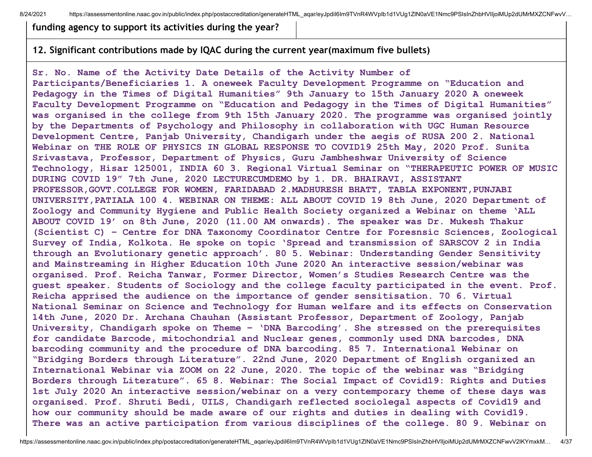8/24/2021 https://assessmentonline.naac.gov.in/public/index.php/postaccreditation/generateHTML\_aqar/eyJpdil6Im9TVnR4WVplb1d1VUq1ZlN0aVE1Nmc9PSIsInZhbHVIIjoiMUp2dUMrMXZCNFwvV...

**funding agency to support its activities during the year?**

#### **12. Significant contributions made by IQAC during the current year(maximum five bullets)**

**Sr. No. Name of the Activity Date Details of the Activity Number of Participants/Beneficiaries 1. A oneweek Faculty Development Programme on "Education and Pedagogy in the Times of Digital Humanities" 9th January to 15th January 2020 A oneweek Faculty Development Programme on "Education and Pedagogy in the Times of Digital Humanities" was organised in the college from 9th 15th January 2020. The programme was organised jointly by the Departments of Psychology and Philosophy in collaboration with UGC Human Resource Development Centre, Panjab University, Chandigarh under the aegis of RUSA 200 2. National Webinar on THE ROLE OF PHYSICS IN GLOBAL RESPONSE TO COVID19 25th May, 2020 Prof. Sunita Srivastava, Professor, Department of Physics, Guru Jambheshwar University of Science Technology, Hisar 125001, INDIA 60 3. Regional Virtual Seminar on "THERAPEUTIC POWER OF MUSIC DURING COVID 19" 7th June, 2020 LECTURECUMDEMO by 1. DR. BHAIRAVI, ASSISTANT PROFESSOR,GOVT.COLLEGE FOR WOMEN, FARIDABAD 2.MADHURESH BHATT, TABLA EXPONENT,PUNJABI UNIVERSITY,PATIALA 100 4. WEBINAR ON THEME: ALL ABOUT COVID 19 8th June, 2020 Department of Zoology and Community Hygiene and Public Health Society organized a Webinar on theme 'ALL ABOUT COVID 19' on 8th June, 2020 (11.00 AM onwards). The speaker was Dr. Mukesh Thakur (Scientist C) – Centre for DNA Taxonomy Coordinator Centre for Foresnsic Sciences, Zoological Survey of India, Kolkota. He spoke on topic 'Spread and transmission of SARSCOV 2 in India through an Evolutionary genetic approach'. 80 5. Webinar: Understanding Gender Sensitivity and Mainstreaming in Higher Education 10th June 2020 An interactive session/webinar was organised. Prof. Reicha Tanwar, Former Director, Women's Studies Research Centre was the guest speaker. Students of Sociology and the college faculty participated in the event. Prof. Reicha apprised the audience on the importance of gender sensitisation. 70 6. Virtual National Seminar on Science and Technology for Human welfare and its effects on Conservation 14th June, 2020 Dr. Archana Chauhan (Assistant Professor, Department of Zoology, Panjab University, Chandigarh spoke on Theme – 'DNA Barcoding'. She stressed on the prerequisites for candidate Barcode, mitochondrial and Nuclear genes, commonly used DNA barcodes, DNA barcoding community and the procedure of DNA barcoding. 85 7. International Webinar on "Bridging Borders through Literature". 22nd June, 2020 Department of English organized an International Webinar via ZOOM on 22 June, 2020. The topic of the webinar was "Bridging Borders through Literature". 65 8. Webinar: The Social Impact of Covid19: Rights and Duties 1st July 2020 An interactive session/webinar on a very contemporary theme of these days was organised. Prof. Shruti Bedi, UILS, Chandigarh reflected sociolegal aspects of Covid19 and how our community should be made aware of our rights and duties in dealing with Covid19. There was an active participation from various disciplines of the college. 80 9. Webinar on**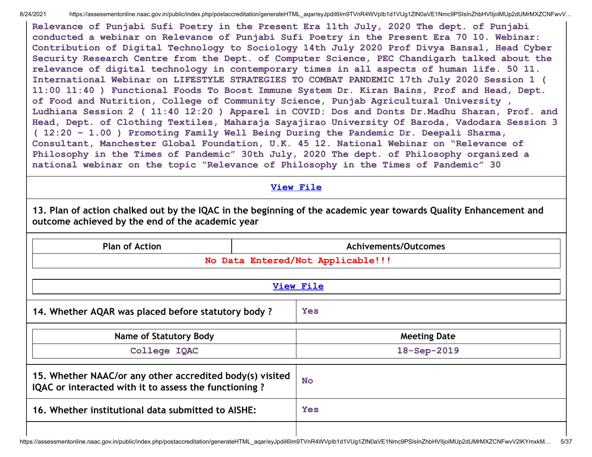8/24/2021 https://assessmentonline.naac.gov.in/public/index.php/postaccreditation/generateHTML aqar/eyJpdiI6Im9TVnR4WVpIb1d1VUg1ZlN0aVE1Nmc9PSIsInZhbHVIIjoiMUp2dUMrMXZCNFwvV...

**Relevance of Punjabi Sufi Poetry in the Present Era 11th July, 2020 The dept. of Punjabi conducted a webinar on Relevance of Punjabi Sufi Poetry in the Present Era 70 10. Webinar: Contribution of Digital Technology to Sociology 14th July 2020 Prof Divya Bansal, Head Cyber Security Research Centre from the Dept. of Computer Science, PEC Chandigarh talked about the relevance of digital technology in contemporary times in all aspects of human life. 50 11. International Webinar on LIFESTYLE STRATEGIES TO COMBAT PANDEMIC 17th July 2020 Session 1 ( 11:00 11:40 ) Functional Foods To Boost Immune System Dr. Kiran Bains, Prof and Head, Dept. of Food and Nutrition, College of Community Science, Punjab Agricultural University , Ludhiana Session 2 ( 11:40 12:20 ) Apparel in COVID: Dos and Donts Dr.Madhu Sharan, Prof. and Head, Dept. of Clothing Textiles, Maharaja Sayajirao University Of Baroda, Vadodara Session 3 ( 12:20 – 1.00 ) Promoting Family Well Being During the Pandemic Dr. Deepali Sharma, Consultant, Manchester Global Foundation, U.K. 45 12. National Webinar on "Relevance of Philosophy in the Times of Pandemic" 30th July, 2020 The dept. of Philosophy organized a national webinar on the topic "Relevance of Philosophy in the Times of Pandemic" 30**

### **View [File](https://assessmentonline.naac.gov.in/public/Postacc/Contribution/10691_Contribution.xlsx)**

13. Plan of action chalked out by the IQAC in the beginning of the academic year towards Quality Enhancement and **outcome achieved by the end of the academic year**

| <b>Plan of Action</b>                                                                                             | Achivements/Outcomes              |
|-------------------------------------------------------------------------------------------------------------------|-----------------------------------|
|                                                                                                                   | No Data Entered/Not Applicable!!! |
|                                                                                                                   | <b>View File</b>                  |
| 14. Whether AQAR was placed before statutory body?                                                                | <b>Yes</b>                        |
| <b>Name of Statutory Body</b>                                                                                     | <b>Meeting Date</b>               |
| College IQAC                                                                                                      | 18-Sep-2019                       |
| 15. Whether NAAC/or any other accredited body(s) visited<br>IQAC or interacted with it to assess the functioning? | <b>No</b>                         |
| 16. Whether institutional data submitted to AISHE:                                                                | <b>Yes</b>                        |
|                                                                                                                   |                                   |

https://assessmentonline.naac.gov.in/public/index.php/postaccreditation/generateHTML\_aqar/eyJpdiI6Im9TVnR4WVpIb1d1VUg1ZlN0aVE1Nmc9PSIsInZhbHVlIjoiMUp2dUMrMXZCNFwvV2lKYmxkM… 5/37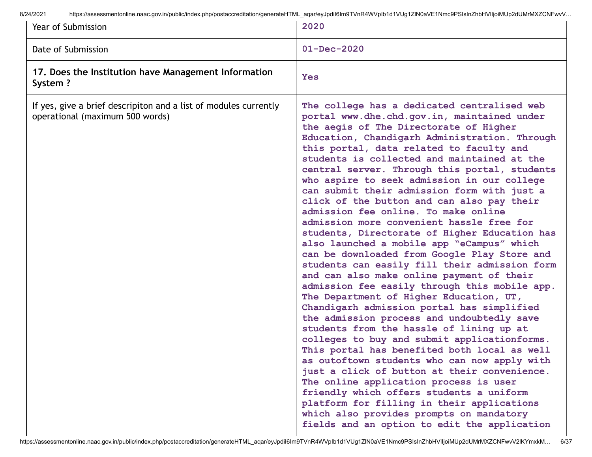8/24/2021 https://assessmentonline.naac.gov.in/public/index.php/postaccreditation/generateHTML\_aqar/eyJpdiI6Im9TVnR4WVpIb1d1VUg1ZlN0aVE1Nmc9PSIsInZhbHVIIjoiMUp2dUMrMXZCNFwvV...

| Year of Submission                                                                                  | 2020                                                                                                                                                                                                                                                                                                                                                                                                                                                                                                                                                                                                                                                                                                                                                                                                                                                                                                                                                                                                                                                                                                                                                                                                                                                                                                                                                                                                                                                                                |
|-----------------------------------------------------------------------------------------------------|-------------------------------------------------------------------------------------------------------------------------------------------------------------------------------------------------------------------------------------------------------------------------------------------------------------------------------------------------------------------------------------------------------------------------------------------------------------------------------------------------------------------------------------------------------------------------------------------------------------------------------------------------------------------------------------------------------------------------------------------------------------------------------------------------------------------------------------------------------------------------------------------------------------------------------------------------------------------------------------------------------------------------------------------------------------------------------------------------------------------------------------------------------------------------------------------------------------------------------------------------------------------------------------------------------------------------------------------------------------------------------------------------------------------------------------------------------------------------------------|
| Date of Submission                                                                                  | $01 - Dec - 2020$                                                                                                                                                                                                                                                                                                                                                                                                                                                                                                                                                                                                                                                                                                                                                                                                                                                                                                                                                                                                                                                                                                                                                                                                                                                                                                                                                                                                                                                                   |
| 17. Does the Institution have Management Information<br>System?                                     | <b>Yes</b>                                                                                                                                                                                                                                                                                                                                                                                                                                                                                                                                                                                                                                                                                                                                                                                                                                                                                                                                                                                                                                                                                                                                                                                                                                                                                                                                                                                                                                                                          |
| If yes, give a brief descripiton and a list of modules currently<br>operational (maximum 500 words) | The college has a dedicated centralised web<br>portal www.dhe.chd.gov.in, maintained under<br>the aegis of The Directorate of Higher<br>Education, Chandigarh Administration. Through<br>this portal, data related to faculty and<br>students is collected and maintained at the<br>central server. Through this portal, students<br>who aspire to seek admission in our college<br>can submit their admission form with just a<br>click of the button and can also pay their<br>admission fee online. To make online<br>admission more convenient hassle free for<br>students, Directorate of Higher Education has<br>also launched a mobile app "eCampus" which<br>can be downloaded from Google Play Store and<br>students can easily fill their admission form<br>and can also make online payment of their<br>admission fee easily through this mobile app.<br>The Department of Higher Education, UT,<br>Chandigarh admission portal has simplified<br>the admission process and undoubtedly save<br>students from the hassle of lining up at<br>colleges to buy and submit applicationforms.<br>This portal has benefited both local as well<br>as outoftown students who can now apply with<br>just a click of button at their convenience.<br>The online application process is user<br>friendly which offers students a uniform<br>platform for filling in their applications<br>which also provides prompts on mandatory<br>fields and an option to edit the application |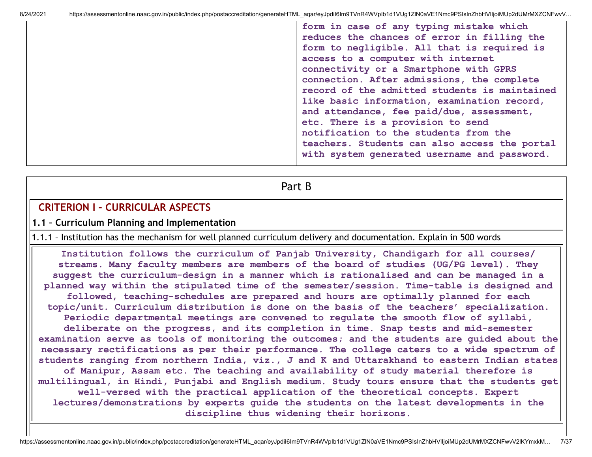| form in case of any typing mistake which      |
|-----------------------------------------------|
| reduces the chances of error in filling the   |
| form to negligible. All that is required is   |
| access to a computer with internet            |
| connectivity or a Smartphone with GPRS        |
| connection. After admissions, the complete    |
| record of the admitted students is maintained |
| like basic information, examination record,   |
| and attendance, fee paid/due, assessment,     |
| etc. There is a provision to send             |
| notification to the students from the         |
| teachers. Students can also access the portal |
| with system generated username and password.  |
|                                               |

Part B

### **CRITERION I – CURRICULAR ASPECTS**

#### **1.1 – Curriculum Planning and Implementation**

1.1.1 – Institution has the mechanism for well planned curriculum delivery and documentation. Explain in 500 words

**Institution follows the curriculum of Panjab University, Chandigarh for all courses/ streams. Many faculty members are members of the board of studies (UG/PG level). They suggest the curriculum-design in a manner which is rationalised and can be managed in a planned way within the stipulated time of the semester/session. Time-table is designed and followed, teaching-schedules are prepared and hours are optimally planned for each topic/unit. Curriculum distribution is done on the basis of the teachers' specialization. Periodic departmental meetings are convened to regulate the smooth flow of syllabi, deliberate on the progress, and its completion in time. Snap tests and mid-semester examination serve as tools of monitoring the outcomes; and the students are guided about the necessary rectifications as per their performance. The college caters to a wide spectrum of students ranging from northern India, viz., J and K and Uttarakhand to eastern Indian states of Manipur, Assam etc. The teaching and availability of study material therefore is multilingual, in Hindi, Punjabi and English medium. Study tours ensure that the students get well-versed with the practical application of the theoretical concepts. Expert lectures/demonstrations by experts guide the students on the latest developments in the discipline thus widening their horizons.**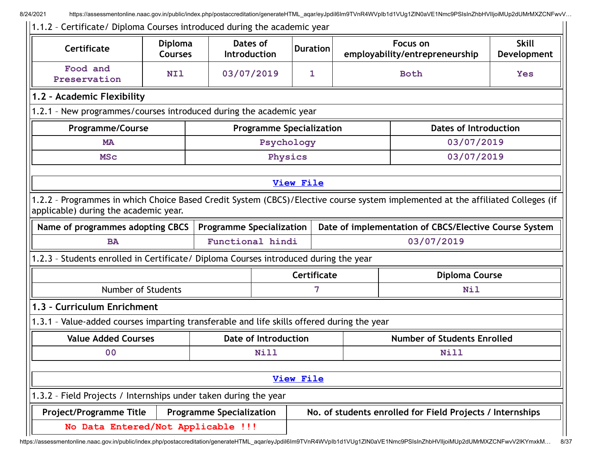8/24/2021 https://assessmentonline.naac.gov.in/public/index.php/postaccreditation/generateHTML aqar/eyJpdil6Im9TVnR4WVpIb1d1VUg1ZlN0aVE1Nmc9PSIsInZhbHVIIjoiMUp2dUMrMXZCNFwvV...

| 1.1.2 - Certificate/ Diploma Courses introduced during the academic year                                                                                                 |                                  |                                 |                                 |                                                       |  |                                            |                                                           |                             |
|--------------------------------------------------------------------------------------------------------------------------------------------------------------------------|----------------------------------|---------------------------------|---------------------------------|-------------------------------------------------------|--|--------------------------------------------|-----------------------------------------------------------|-----------------------------|
| Certificate                                                                                                                                                              | <b>Diploma</b><br><b>Courses</b> |                                 | Dates of<br><b>Introduction</b> | <b>Duration</b>                                       |  | Focus on<br>employability/entrepreneurship |                                                           | <b>Skill</b><br>Development |
| Food and<br>Preservation                                                                                                                                                 | <b>NI1</b>                       | 03/07/2019                      |                                 | 1                                                     |  |                                            | <b>Yes</b>                                                |                             |
| 1.2 - Academic Flexibility                                                                                                                                               |                                  |                                 |                                 |                                                       |  |                                            |                                                           |                             |
| 1.2.1 - New programmes/courses introduced during the academic year                                                                                                       |                                  |                                 |                                 |                                                       |  |                                            |                                                           |                             |
| <b>Programme/Course</b><br><b>Programme Specialization</b><br><b>Dates of Introduction</b>                                                                               |                                  |                                 |                                 |                                                       |  |                                            |                                                           |                             |
| <b>MA</b>                                                                                                                                                                |                                  |                                 | Psychology                      |                                                       |  |                                            | 03/07/2019                                                |                             |
| <b>MSc</b>                                                                                                                                                               |                                  |                                 | Physics                         |                                                       |  |                                            | 03/07/2019                                                |                             |
|                                                                                                                                                                          |                                  |                                 |                                 | View File                                             |  |                                            |                                                           |                             |
| 1.2.2 - Programmes in which Choice Based Credit System (CBCS)/Elective course system implemented at the affiliated Colleges (if<br>applicable) during the academic year. |                                  |                                 |                                 |                                                       |  |                                            |                                                           |                             |
| Name of programmes adopting CBCS                                                                                                                                         |                                  | <b>Programme Specialization</b> |                                 | Date of implementation of CBCS/Elective Course System |  |                                            |                                                           |                             |
| <b>BA</b>                                                                                                                                                                |                                  | Functional hindi                |                                 | 03/07/2019                                            |  |                                            |                                                           |                             |
| 1.2.3 - Students enrolled in Certificate/ Diploma Courses introduced during the year                                                                                     |                                  |                                 |                                 |                                                       |  |                                            |                                                           |                             |
|                                                                                                                                                                          |                                  |                                 |                                 | Certificate                                           |  |                                            | <b>Diploma Course</b>                                     |                             |
| Number of Students                                                                                                                                                       |                                  |                                 |                                 | 7                                                     |  |                                            | <b>Nil</b>                                                |                             |
| 1.3 - Curriculum Enrichment                                                                                                                                              |                                  |                                 |                                 |                                                       |  |                                            |                                                           |                             |
| 1.3.1 - Value-added courses imparting transferable and life skills offered during the year                                                                               |                                  |                                 |                                 |                                                       |  |                                            |                                                           |                             |
| <b>Value Added Courses</b>                                                                                                                                               |                                  |                                 |                                 | <b>Date of Introduction</b>                           |  |                                            | <b>Number of Students Enrolled</b>                        |                             |
| 0 <sub>0</sub>                                                                                                                                                           |                                  |                                 | <b>Nill</b>                     |                                                       |  |                                            | <b>Nill</b>                                               |                             |
|                                                                                                                                                                          |                                  |                                 |                                 | <b>View File</b>                                      |  |                                            |                                                           |                             |
| 1.3.2 - Field Projects / Internships under taken during the year                                                                                                         |                                  |                                 |                                 |                                                       |  |                                            |                                                           |                             |
| Project/Programme Title                                                                                                                                                  |                                  | <b>Programme Specialization</b> |                                 |                                                       |  |                                            | No. of students enrolled for Field Projects / Internships |                             |
| No Data Entered/Not Applicable !!!                                                                                                                                       |                                  |                                 |                                 |                                                       |  |                                            |                                                           |                             |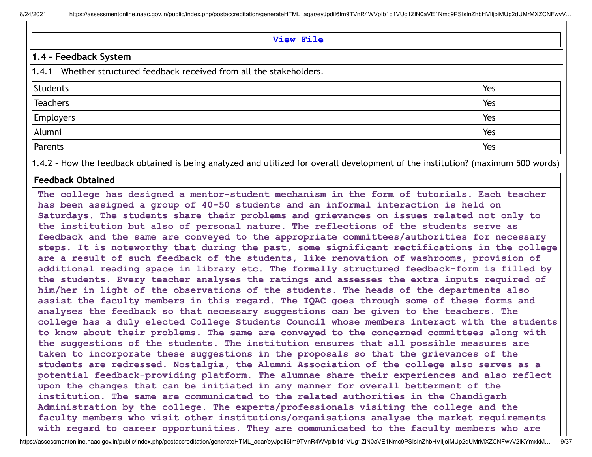8/24/2021 https://assessmentonline.naac.gov.in/public/index.php/postaccreditation/generateHTML\_aqar/eyJpdil6Im9TVnR4WVpIb1d1VUq1ZlN0aVE1Nmc9PSIsInZhbHVIIjoiMUp2dUMrMXZCNFwvV...

#### **[View](https://assessmentonline.naac.gov.in/public/Postacc/Projects_undertaken/10691_Projects_undertaken_1627020162.xlsx) File**

### **1.4 – Feedback System**

1.4.1 – Whether structured feedback received from all the stakeholders.

| Students<br>Teachers           | Yes |
|--------------------------------|-----|
|                                | Yes |
| Employers<br>Alumni<br>Parents | Yes |
|                                | Yes |
|                                | Yes |

1.4.2 – How the feedback obtained is being analyzed and utilized for overall development of the institution? (maximum 500 words)

#### **Feedback Obtained**

**The college has designed a mentor-student mechanism in the form of tutorials. Each teacher has been assigned a group of 40-50 students and an informal interaction is held on Saturdays. The students share their problems and grievances on issues related not only to the institution but also of personal nature. The reflections of the students serve as feedback and the same are conveyed to the appropriate committees/authorities for necessary steps. It is noteworthy that during the past, some significant rectifications in the college are a result of such feedback of the students, like renovation of washrooms, provision of additional reading space in library etc. The formally structured feedback-form is filled by the students. Every teacher analyses the ratings and assesses the extra inputs required of him/her in light of the observations of the students. The heads of the departments also assist the faculty members in this regard. The IQAC goes through some of these forms and analyses the feedback so that necessary suggestions can be given to the teachers. The college has a duly elected College Students Council whose members interact with the students to know about their problems. The same are conveyed to the concerned committees along with the suggestions of the students. The institution ensures that all possible measures are taken to incorporate these suggestions in the proposals so that the grievances of the students are redressed. Nostalgia, the Alumni Association of the college also serves as a potential feedback-providing platform. The alumnae share their experiences and also reflect upon the changes that can be initiated in any manner for overall betterment of the institution. The same are communicated to the related authorities in the Chandigarh Administration by the college. The experts/professionals visiting the college and the faculty members who visit other institutions/organisations analyse the market requirements with regard to career opportunities. They are communicated to the faculty members who are**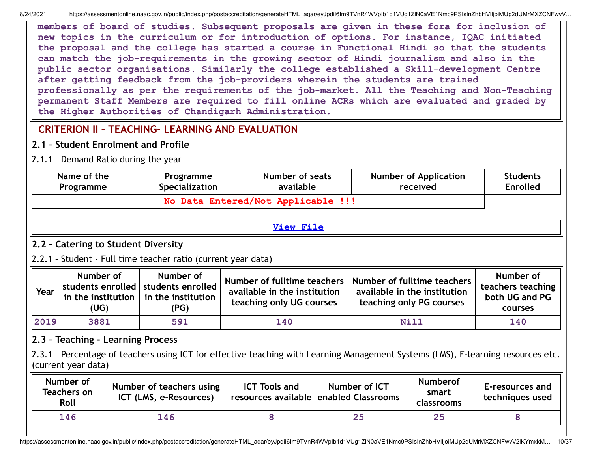8/24/2021 https://assessmentonline.naac.gov.in/public/index.php/postaccreditation/generateHTML aqar/eyJpdiI6Im9TVnR4WVpIb1d1VUg1ZlN0aVE1Nmc9PSIsInZhbHVIIjoiMUp2dUMrMXZCNFwvV...

**members of board of studies. Subsequent proposals are given in these fora for inclusion of new topics in the curriculum or for introduction of options. For instance, IQAC initiated the proposal and the college has started a course in Functional Hindi so that the students can match the job-requirements in the growing sector of Hindi journalism and also in the public sector organisations. Similarly the college established a Skill-development Centre after getting feedback from the job-providers wherein the students are trained professionally as per the requirements of the job-market. All the Teaching and Non-Teaching permanent Staff Members are required to fill online ACRs which are evaluated and graded by the Higher Authorities of Chandigarh Administration.**

# **CRITERION II – TEACHING- LEARNING AND EVALUATION**

## **2.1 – Student Enrolment and Profile**

2.1.1 – Demand Ratio during the year

|                   | No Data Entered/Not Applicable !!!                                                          |                                                                                                                                                     |                                                                                         |                                                                                                                |                                                             | <b>Enrolled</b>                                                                                                                   |  |     |
|-------------------|---------------------------------------------------------------------------------------------|-----------------------------------------------------------------------------------------------------------------------------------------------------|-----------------------------------------------------------------------------------------|----------------------------------------------------------------------------------------------------------------|-------------------------------------------------------------|-----------------------------------------------------------------------------------------------------------------------------------|--|-----|
|                   |                                                                                             |                                                                                                                                                     |                                                                                         |                                                                                                                |                                                             |                                                                                                                                   |  |     |
|                   |                                                                                             | <b>View File</b>                                                                                                                                    |                                                                                         |                                                                                                                |                                                             |                                                                                                                                   |  |     |
|                   |                                                                                             |                                                                                                                                                     |                                                                                         |                                                                                                                |                                                             |                                                                                                                                   |  |     |
|                   |                                                                                             |                                                                                                                                                     |                                                                                         |                                                                                                                |                                                             |                                                                                                                                   |  |     |
| Number of<br>(UG) | Number of<br>students enrolled<br>in the institution<br>(PG)                                |                                                                                                                                                     | Number of fulltime teachers<br>available in the institution<br>teaching only PG courses |                                                                                                                | Number of<br>teachers teaching<br>both UG and PG<br>courses |                                                                                                                                   |  |     |
| 3881              | 591                                                                                         | 140                                                                                                                                                 |                                                                                         | Nill                                                                                                           |                                                             |                                                                                                                                   |  | 140 |
|                   |                                                                                             |                                                                                                                                                     |                                                                                         |                                                                                                                |                                                             |                                                                                                                                   |  |     |
|                   |                                                                                             | <b>ICT Tools and</b>                                                                                                                                | Number of ICT<br>enabled Classrooms                                                     |                                                                                                                | <b>Numberof</b><br>smart<br>classrooms                      | E-resources and<br>techniques used                                                                                                |  |     |
|                   | 146                                                                                         | 8                                                                                                                                                   |                                                                                         | 25                                                                                                             | 25                                                          | 8                                                                                                                                 |  |     |
|                   | in the institution<br>(current year data)<br>Number of<br><b>Teachers on</b><br>Roll<br>146 | 2.2 - Catering to Student Diversity<br>students enrolled<br>2.3 - Teaching - Learning Process<br>Number of teachers using<br>ICT (LMS, e-Resources) | 2.2.1 - Student - Full time teacher ratio (current year data)                           | Number of fulltime teachers<br>available in the institution<br>teaching only UG courses<br>resources available |                                                             | 2.3.1 - Percentage of teachers using ICT for effective teaching with Learning Management Systems (LMS), E-learning resources etc. |  |     |

https://assessmentonline.naac.gov.in/public/index.php/postaccreditation/generateHTML\_aqar/eyJpdiI6Im9TVnR4WVpIb1d1VUg1ZlN0aVE1Nmc9PSIsInZhbHVlIjoiMUp2dUMrMXZCNFwvV2lKYmxkM… 10/37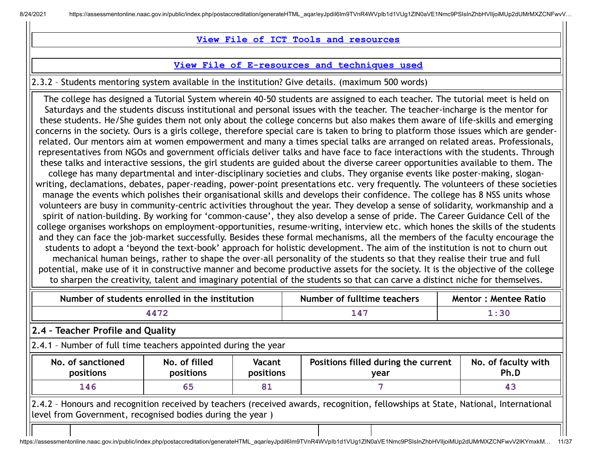**View File of ICT Tools and [resources](https://assessmentonline.naac.gov.in/public/Postacc/ict_tools/10691_ict_tools_1626677707.xlsx)**

#### **View File of [E-resources](https://assessmentonline.naac.gov.in/public/Postacc/e_resource/10691_e_resource_1626677699.xlsx) and techniques used**

2.3.2 – Students mentoring system available in the institution? Give details. (maximum 500 words)

The college has designed a Tutorial System wherein 40-50 students are assigned to each teacher. The tutorial meet is held on Saturdays and the students discuss institutional and personal issues with the teacher. The teacher-incharge is the mentor for these students. He/She guides them not only about the college concerns but also makes them aware of life-skills and emerging concerns in the society. Ours is a girls college, therefore special care is taken to bring to platform those issues which are genderrelated. Our mentors aim at women empowerment and many a times special talks are arranged on related areas. Professionals, representatives from NGOs and government officials deliver talks and have face to face interactions with the students. Through these talks and interactive sessions, the girl students are guided about the diverse career opportunities available to them. The college has many departmental and inter-disciplinary societies and clubs. They organise events like poster-making, sloganwriting, declamations, debates, paper-reading, power-point presentations etc. very frequently. The volunteers of these societies manage the events which polishes their organisational skills and develops their confidence. The college has 8 NSS units whose volunteers are busy in community-centric activities throughout the year. They develop a sense of solidarity, workmanship and a spirit of nation-building. By working for 'common-cause', they also develop a sense of pride. The Career Guidance Cell of the college organises workshops on employment-opportunities, resume-writing, interview etc. which hones the skills of the students and they can face the job-market successfully. Besides these formal mechanisms, all the members of the faculty encourage the students to adopt a 'beyond the text-book' approach for holistic development. The aim of the institution is not to churn out mechanical human beings, rather to shape the over-all personality of the students so that they realise their true and full potential, make use of it in constructive manner and become productive assets for the society. It is the objective of the college to sharpen the creativity, talent and imaginary potential of the students so that can carve a distinct niche for themselves.

|                                                                                                                                                                                                | Number of students enrolled in the institution |                     | Number of fulltime teachers                 | <b>Mentor: Mentee Ratio</b> |                             |  |  |
|------------------------------------------------------------------------------------------------------------------------------------------------------------------------------------------------|------------------------------------------------|---------------------|---------------------------------------------|-----------------------------|-----------------------------|--|--|
|                                                                                                                                                                                                | 4472                                           |                     | 147                                         | 1:30                        |                             |  |  |
| 2.4 - Teacher Profile and Quality                                                                                                                                                              |                                                |                     |                                             |                             |                             |  |  |
| 2.4.1 - Number of full time teachers appointed during the year                                                                                                                                 |                                                |                     |                                             |                             |                             |  |  |
| No. of sanctioned<br>positions                                                                                                                                                                 | No. of filled<br>positions                     | Vacant<br>positions | Positions filled during the current<br>year |                             | No. of faculty with<br>Ph.D |  |  |
| 146                                                                                                                                                                                            | 65                                             | 81                  |                                             |                             | 43                          |  |  |
| 2.4.2 - Honours and recognition received by teachers (received awards, recognition, fellowships at State, National, International<br>level from Government, recognised bodies during the year) |                                                |                     |                                             |                             |                             |  |  |
|                                                                                                                                                                                                |                                                |                     |                                             |                             |                             |  |  |

```
https://assessmentonline.naac.gov.in/public/index.php/postaccreditation/generateHTML_aqar/eyJpdiI6Im9TVnR4WVpIb1d1VUq1ZlN0aVE1Nmc9PSIsInZhbHVIIjoiMUp2dUMrMXZCNFwvV2lKYmxkM... 11/37
```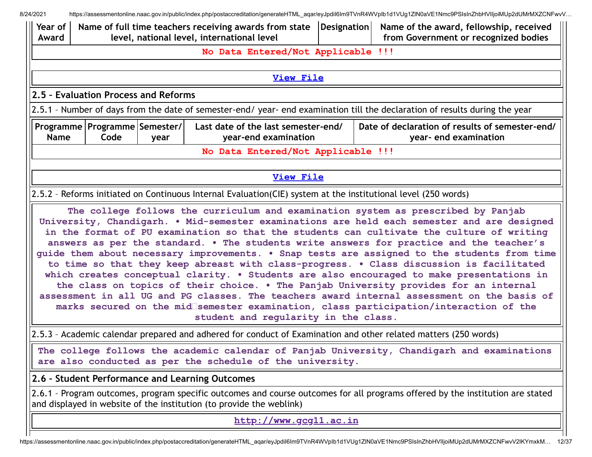| 8/24/2021                                                                                |                                                                      |                                            |                                                                                                                |  | https://assessmentonline.naac.gov.in/public/index.php/postaccreditation/generateHTML aqar/eyJpdil6lm9TVnR4WVplb1d1VUg1ZlN0aVE1Nmc9PSIsInZhbHVIIjoiMUp2dUMrMXZCNFwvV                                                                                                                                                                                                                                                                                                       |
|------------------------------------------------------------------------------------------|----------------------------------------------------------------------|--------------------------------------------|----------------------------------------------------------------------------------------------------------------|--|---------------------------------------------------------------------------------------------------------------------------------------------------------------------------------------------------------------------------------------------------------------------------------------------------------------------------------------------------------------------------------------------------------------------------------------------------------------------------|
| $\parallel$ Year of<br>Award                                                             | Name of full time teachers receiving awards from state   Designation | level, national level, international level | Name of the award, fellowship, received<br>from Government or recognized bodies                                |  |                                                                                                                                                                                                                                                                                                                                                                                                                                                                           |
|                                                                                          |                                                                      |                                            | No Data Entered/Not Applicable !!!                                                                             |  |                                                                                                                                                                                                                                                                                                                                                                                                                                                                           |
|                                                                                          |                                                                      |                                            | <b>View File</b>                                                                                               |  |                                                                                                                                                                                                                                                                                                                                                                                                                                                                           |
|                                                                                          | 2.5 - Evaluation Process and Reforms                                 |                                            |                                                                                                                |  |                                                                                                                                                                                                                                                                                                                                                                                                                                                                           |
|                                                                                          |                                                                      |                                            |                                                                                                                |  | 2.5.1 - Number of days from the date of semester-end/ year- end examination till the declaration of results during the year                                                                                                                                                                                                                                                                                                                                               |
| <b>Name</b>                                                                              | Programme   Programme   Semester /  <br>Code                         | year                                       | Last date of the last semester-end/<br>year-end examination                                                    |  | Date of declaration of results of semester-end/<br>year- end examination                                                                                                                                                                                                                                                                                                                                                                                                  |
|                                                                                          |                                                                      |                                            | No Data Entered/Not Applicable !!!                                                                             |  |                                                                                                                                                                                                                                                                                                                                                                                                                                                                           |
|                                                                                          |                                                                      |                                            | <b>View File</b>                                                                                               |  |                                                                                                                                                                                                                                                                                                                                                                                                                                                                           |
|                                                                                          |                                                                      |                                            | 2.5.2 - Reforms initiated on Continuous Internal Evaluation(CIE) system at the institutional level (250 words) |  |                                                                                                                                                                                                                                                                                                                                                                                                                                                                           |
| to time so that they keep abreast with class-progress. . Class discussion is facilitated |                                                                      |                                            |                                                                                                                |  | The college follows the curriculum and examination system as prescribed by Panjab<br>University, Chandigarh. . Mid-semester examinations are held each semester and are designed<br>in the format of PU examination so that the students can cultivate the culture of writing<br>answers as per the standard. . The students write answers for practice and the teacher's<br>guide them about necessary improvements. . Snap tests are assigned to the students from time |

**which creates conceptual clarity. • Students are also encouraged to make presentations in the class on topics of their choice. • The Panjab University provides for an internal assessment in all UG and PG classes. The teachers award internal assessment on the basis of marks secured on the mid semester examination, class participation/interaction of the student and regularity in the class.**

2.5.3 – Academic calendar prepared and adhered for conduct of Examination and other related matters (250 words)

**The college follows the academic calendar of Panjab University, Chandigarh and examinations are also conducted as per the schedule of the university.**

**2.6 – Student Performance and Learning Outcomes**

2.6.1 – Program outcomes, program specific outcomes and course outcomes for all programs offered by the institution are stated and displayed in website of the institution (to provide the weblink)

**[http://www.gcg11.ac.in](http://www.gcg11.ac.in/)**

https://assessmentonline.naac.gov.in/public/index.php/postaccreditation/generateHTML\_aqar/eyJpdiI6Im9TVnR4WVpIb1d1VUg1ZlN0aVE1Nmc9PSIsInZhbHVlIjoiMUp2dUMrMXZCNFwvV2lKYmxkM… 12/37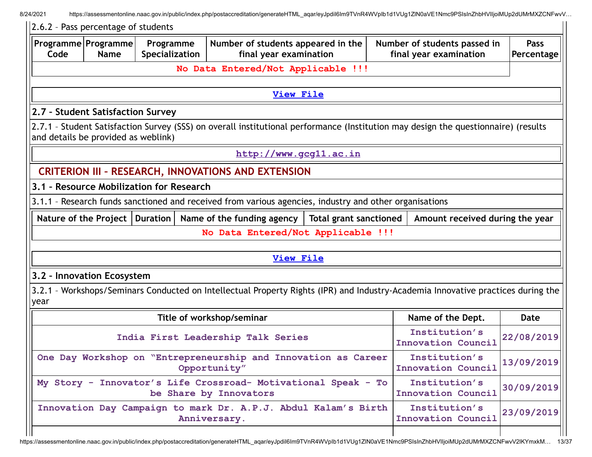8/24/2021 https://assessmentonline.naac.gov.in/public/index.php/postaccreditation/generateHTML\_aqar/eyJpdiI6Im9TVnR4WVpIb1d1VUg1ZlN0aVE1Nmc9PSIsInZhbHVIIjoiMUp2dUMrMXZCNFwvV...

|      | 2.6.2 - Pass percentage of students    |                                                                                |                                                                                                                                    |                               |                                                        |                           |
|------|----------------------------------------|--------------------------------------------------------------------------------|------------------------------------------------------------------------------------------------------------------------------------|-------------------------------|--------------------------------------------------------|---------------------------|
| Code | Programme Programme<br><b>Name</b>     | Programme<br>Specialization                                                    | Number of students appeared in the<br>final year examination                                                                       |                               | Number of students passed in<br>final year examination | <b>Pass</b><br>Percentage |
|      |                                        |                                                                                | No Data Entered/Not Applicable !!!                                                                                                 |                               |                                                        |                           |
|      |                                        |                                                                                |                                                                                                                                    |                               |                                                        |                           |
|      |                                        |                                                                                | <b>View File</b>                                                                                                                   |                               |                                                        |                           |
|      | 2.7 - Student Satisfaction Survey      |                                                                                |                                                                                                                                    |                               |                                                        |                           |
|      | and details be provided as weblink)    |                                                                                | 2.7.1 - Student Satisfaction Survey (SSS) on overall institutional performance (Institution may design the questionnaire) (results |                               |                                                        |                           |
|      |                                        |                                                                                | http://www.gcg11.ac.in                                                                                                             |                               |                                                        |                           |
|      |                                        |                                                                                | <b>CRITERION III - RESEARCH, INNOVATIONS AND EXTENSION</b>                                                                         |                               |                                                        |                           |
|      |                                        | 3.1 - Resource Mobilization for Research                                       |                                                                                                                                    |                               |                                                        |                           |
|      |                                        |                                                                                | 3.1.1 - Research funds sanctioned and received from various agencies, industry and other organisations                             |                               |                                                        |                           |
|      | Nature of the Project $ $ Duration $ $ |                                                                                | Name of the funding agency                                                                                                         | <b>Total grant sanctioned</b> | Amount received during the year                        |                           |
|      |                                        |                                                                                | No Data Entered/Not Applicable !!!                                                                                                 |                               |                                                        |                           |
|      |                                        |                                                                                |                                                                                                                                    |                               |                                                        |                           |
|      |                                        |                                                                                | <b>View File</b>                                                                                                                   |                               |                                                        |                           |
|      | 3.2 - Innovation Ecosystem             |                                                                                |                                                                                                                                    |                               |                                                        |                           |
| year |                                        |                                                                                | 3.2.1 - Workshops/Seminars Conducted on Intellectual Property Rights (IPR) and Industry-Academia Innovative practices during the   |                               |                                                        |                           |
|      |                                        |                                                                                | Title of workshop/seminar                                                                                                          |                               | Name of the Dept.                                      | <b>Date</b>               |
|      |                                        |                                                                                | India First Leadership Talk Series                                                                                                 |                               | Institution's<br><b>Innovation Council</b>             | 22/08/2019                |
|      |                                        | One Day Workshop on "Entrepreneurship and Innovation as Career<br>Opportunity" | Institution's<br>Innovation Council                                                                                                | 13/09/2019                    |                                                        |                           |
|      |                                        |                                                                                | My Story - Innovator's Life Crossroad- Motivational Speak - To<br>be Share by Innovators                                           |                               | Institution's<br><b>Innovation Council</b>             | 30/09/2019                |
|      |                                        |                                                                                | Innovation Day Campaign to mark Dr. A.P.J. Abdul Kalam's Birth<br>Anniversary.                                                     |                               | Institution's<br><b>Innovation Council</b>             | 23/09/2019                |
|      |                                        |                                                                                |                                                                                                                                    |                               |                                                        |                           |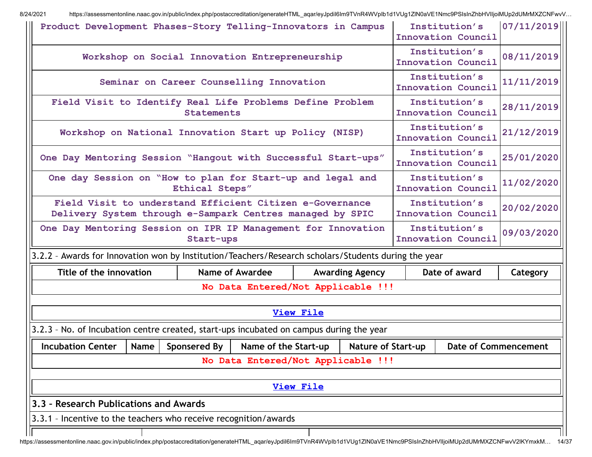| Institution's<br>Product Development Phases-Story Telling-Innovators in Campus<br>Innovation Council                |                                                                                                                                                                                   |           |                                                |                  |                        |  | 07/11/2019                                 |            |
|---------------------------------------------------------------------------------------------------------------------|-----------------------------------------------------------------------------------------------------------------------------------------------------------------------------------|-----------|------------------------------------------------|------------------|------------------------|--|--------------------------------------------|------------|
|                                                                                                                     |                                                                                                                                                                                   |           | Workshop on Social Innovation Entrepreneurship |                  |                        |  | Institution's<br>Innovation Council        | 08/11/2019 |
|                                                                                                                     | Seminar on Career Counselling Innovation                                                                                                                                          |           |                                                |                  |                        |  | Institution's<br><b>Innovation Council</b> | 11/11/2019 |
| Field Visit to Identify Real Life Problems Define Problem<br><b>Statements</b>                                      |                                                                                                                                                                                   |           |                                                |                  |                        |  | Institution's<br><b>Innovation Council</b> | 28/11/2019 |
| Workshop on National Innovation Start up Policy (NISP)                                                              |                                                                                                                                                                                   |           |                                                |                  |                        |  | Institution's<br>Innovation Council        | 21/12/2019 |
|                                                                                                                     | Institution's<br>One Day Mentoring Session "Hangout with Successful Start-ups"<br><b>Innovation Council</b>                                                                       |           |                                                |                  |                        |  |                                            | 25/01/2020 |
| One day Session on "How to plan for Start-up and legal and<br>Institution's<br>Ethical Steps"<br>Innovation Council |                                                                                                                                                                                   |           |                                                |                  |                        |  | 11/02/2020                                 |            |
|                                                                                                                     | Field Visit to understand Efficient Citizen e-Governance<br>Delivery System through e-Sampark Centres managed by SPIC                                                             |           |                                                |                  |                        |  | Institution's<br><b>Innovation Council</b> | 20/02/2020 |
| One Day Mentoring Session on IPR IP Management for Innovation                                                       |                                                                                                                                                                                   | Start-ups |                                                |                  |                        |  | Institution's<br><b>Innovation Council</b> | 09/03/2020 |
| 3.2.2 - Awards for Innovation won by Institution/Teachers/Research scholars/Students during the year                |                                                                                                                                                                                   |           |                                                |                  |                        |  |                                            |            |
| Title of the innovation                                                                                             |                                                                                                                                                                                   |           | <b>Name of Awardee</b>                         |                  | <b>Awarding Agency</b> |  | Date of award                              | Category   |
|                                                                                                                     |                                                                                                                                                                                   |           | No Data Entered/Not Applicable !!!             |                  |                        |  |                                            |            |
|                                                                                                                     |                                                                                                                                                                                   |           |                                                | <b>View File</b> |                        |  |                                            |            |
|                                                                                                                     |                                                                                                                                                                                   |           |                                                |                  |                        |  |                                            |            |
| 3.2.3 - No. of Incubation centre created, start-ups incubated on campus during the year                             |                                                                                                                                                                                   |           |                                                |                  |                        |  |                                            |            |
|                                                                                                                     | <b>Incubation Center</b><br>Sponsered By<br>Name of the Start-up<br><b>Nature of Start-up</b><br><b>Date of Commencement</b><br><b>Name</b><br>No Data Entered/Not Applicable !!! |           |                                                |                  |                        |  |                                            |            |
|                                                                                                                     |                                                                                                                                                                                   |           |                                                |                  |                        |  |                                            |            |
|                                                                                                                     |                                                                                                                                                                                   |           |                                                | <b>View File</b> |                        |  |                                            |            |
| 3.3 - Research Publications and Awards                                                                              |                                                                                                                                                                                   |           |                                                |                  |                        |  |                                            |            |
| 3.3.1 - Incentive to the teachers who receive recognition/awards                                                    |                                                                                                                                                                                   |           |                                                |                  |                        |  |                                            |            |
|                                                                                                                     |                                                                                                                                                                                   |           |                                                |                  |                        |  |                                            |            |

https://assessmentonline.naac.gov.in/public/index.php/postaccreditation/generateHTML\_aqar/eyJpdiI6Im9TVnR4WVpIb1d1VUg1ZlN0aVE1Nmc9PSIsInZhbHVlIjoiMUp2dUMrMXZCNFwvV2lKYmxkM… 14/37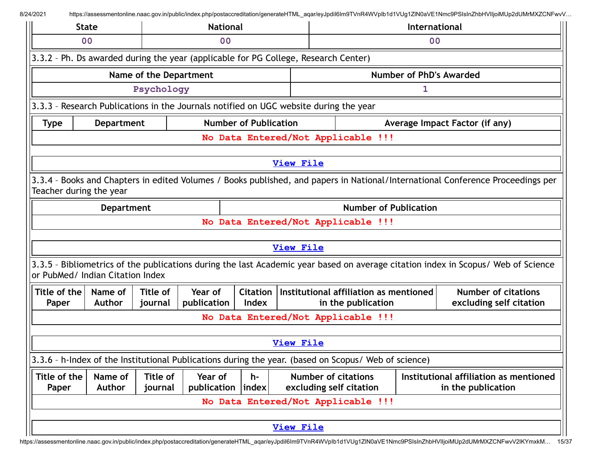|                                                                  | <b>State</b>                     |                        | <b>National</b>        |             |                                                                                                      |                              | International                  |                                                                                                                                   |  |
|------------------------------------------------------------------|----------------------------------|------------------------|------------------------|-------------|------------------------------------------------------------------------------------------------------|------------------------------|--------------------------------|-----------------------------------------------------------------------------------------------------------------------------------|--|
| 0 <sub>0</sub>                                                   |                                  |                        | 0 <sub>0</sub>         |             |                                                                                                      |                              |                                | 0 <sub>0</sub>                                                                                                                    |  |
|                                                                  |                                  |                        |                        |             | 3.3.2 - Ph. Ds awarded during the year (applicable for PG College, Research Center)                  |                              |                                |                                                                                                                                   |  |
|                                                                  |                                  | Name of the Department |                        |             |                                                                                                      |                              | Number of PhD's Awarded        |                                                                                                                                   |  |
|                                                                  |                                  | Psychology             |                        |             |                                                                                                      |                              | 1                              |                                                                                                                                   |  |
|                                                                  |                                  |                        |                        |             | 3.3.3 - Research Publications in the Journals notified on UGC website during the year                |                              |                                |                                                                                                                                   |  |
| <b>Number of Publication</b><br><b>Department</b><br><b>Type</b> |                                  |                        |                        |             |                                                                                                      |                              | Average Impact Factor (if any) |                                                                                                                                   |  |
|                                                                  |                                  |                        |                        |             | No Data Entered/Not Applicable !!!                                                                   |                              |                                |                                                                                                                                   |  |
|                                                                  |                                  |                        |                        |             | View File                                                                                            |                              |                                |                                                                                                                                   |  |
|                                                                  |                                  |                        |                        |             |                                                                                                      |                              |                                |                                                                                                                                   |  |
|                                                                  | Teacher during the year          |                        |                        |             |                                                                                                      |                              |                                | 3.3.4 - Books and Chapters in edited Volumes / Books published, and papers in National/International Conference Proceedings per   |  |
|                                                                  | <b>Department</b>                |                        |                        |             |                                                                                                      | <b>Number of Publication</b> |                                |                                                                                                                                   |  |
|                                                                  |                                  |                        |                        |             | No Data Entered/Not Applicable !!!                                                                   |                              |                                |                                                                                                                                   |  |
|                                                                  |                                  |                        |                        |             | <b>View File</b>                                                                                     |                              |                                |                                                                                                                                   |  |
|                                                                  | or PubMed/ Indian Citation Index |                        |                        |             |                                                                                                      |                              |                                | 3.3.5 - Bibliometrics of the publications during the last Academic year based on average citation index in Scopus/ Web of Science |  |
| Title of the<br>Paper                                            | Name of<br><b>Author</b>         | Title of<br>journal    | Year of<br>publication | Index       | Citation   Institutional affiliation as mentioned                                                    | in the publication           |                                | <b>Number of citations</b><br>excluding self citation                                                                             |  |
|                                                                  |                                  |                        |                        |             | No Data Entered/Not Applicable !!!                                                                   |                              |                                |                                                                                                                                   |  |
|                                                                  |                                  |                        |                        |             | <b>View File</b>                                                                                     |                              |                                |                                                                                                                                   |  |
|                                                                  |                                  |                        |                        |             |                                                                                                      |                              |                                |                                                                                                                                   |  |
|                                                                  |                                  |                        |                        |             | 3.3.6 - h-Index of the Institutional Publications during the year. (based on Scopus/ Web of science) |                              |                                |                                                                                                                                   |  |
| Title of the<br>Paper                                            | Name of<br><b>Author</b>         | Title of<br>journal    | Year of<br>publication | h-<br>index | <b>Number of citations</b><br>excluding self citation                                                |                              |                                | Institutional affiliation as mentioned<br>in the publication                                                                      |  |
|                                                                  |                                  |                        |                        |             | No Data Entered/Not Applicable !!!                                                                   |                              |                                |                                                                                                                                   |  |
|                                                                  |                                  |                        |                        |             |                                                                                                      |                              |                                |                                                                                                                                   |  |
|                                                                  |                                  |                        |                        |             | <b>View File</b>                                                                                     |                              |                                |                                                                                                                                   |  |

https://assessmentonline.naac.gov.in/public/index.php/postaccreditation/generateHTML\_aqar/eyJpdiI6Im9TVnR4WVpIb1d1VUg1ZlN0aVE1Nmc9PSIsInZhbHVlIjoiMUp2dUMrMXZCNFwvV2lKYmxkM… 15/37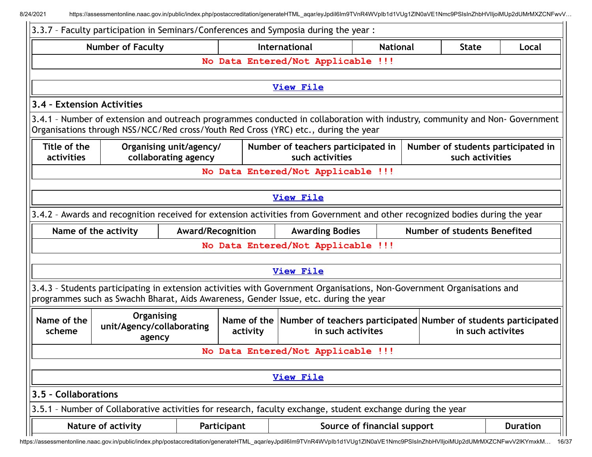$\blacksquare$ 

|                                                                                                                                                                                                 | 3.3.7 - Faculty participation in Seminars/Conferences and Symposia during the year :                                                                                                                              |                          |  |                                    |  |  |                              |  |
|-------------------------------------------------------------------------------------------------------------------------------------------------------------------------------------------------|-------------------------------------------------------------------------------------------------------------------------------------------------------------------------------------------------------------------|--------------------------|--|------------------------------------|--|--|------------------------------|--|
| International<br><b>Number of Faculty</b><br><b>State</b><br><b>National</b><br>Local                                                                                                           |                                                                                                                                                                                                                   |                          |  |                                    |  |  |                              |  |
| No Data Entered/Not Applicable !!!                                                                                                                                                              |                                                                                                                                                                                                                   |                          |  |                                    |  |  |                              |  |
|                                                                                                                                                                                                 |                                                                                                                                                                                                                   |                          |  |                                    |  |  |                              |  |
|                                                                                                                                                                                                 |                                                                                                                                                                                                                   |                          |  | <b>View File</b>                   |  |  |                              |  |
| 3.4 - Extension Activities                                                                                                                                                                      |                                                                                                                                                                                                                   |                          |  |                                    |  |  |                              |  |
|                                                                                                                                                                                                 | 3.4.1 - Number of extension and outreach programmes conducted in collaboration with industry, community and Non-Government<br>Organisations through NSS/NCC/Red cross/Youth Red Cross (YRC) etc., during the year |                          |  |                                    |  |  |                              |  |
| Title of the<br>Organising unit/agency/<br>Number of teachers participated in<br>Number of students participated in<br>collaborating agency<br>such activities<br>such activities<br>activities |                                                                                                                                                                                                                   |                          |  |                                    |  |  |                              |  |
|                                                                                                                                                                                                 |                                                                                                                                                                                                                   |                          |  | No Data Entered/Not Applicable !!! |  |  |                              |  |
|                                                                                                                                                                                                 |                                                                                                                                                                                                                   |                          |  |                                    |  |  |                              |  |
|                                                                                                                                                                                                 |                                                                                                                                                                                                                   |                          |  | <b>View File</b>                   |  |  |                              |  |
|                                                                                                                                                                                                 | 3.4.2 - Awards and recognition received for extension activities from Government and other recognized bodies during the year                                                                                      |                          |  |                                    |  |  |                              |  |
| Name of the activity                                                                                                                                                                            |                                                                                                                                                                                                                   | <b>Award/Recognition</b> |  | <b>Awarding Bodies</b>             |  |  | Number of students Benefited |  |
|                                                                                                                                                                                                 |                                                                                                                                                                                                                   |                          |  | No Data Entered/Not Applicable !!! |  |  |                              |  |
|                                                                                                                                                                                                 |                                                                                                                                                                                                                   |                          |  |                                    |  |  |                              |  |
|                                                                                                                                                                                                 |                                                                                                                                                                                                                   |                          |  | <b>View File</b>                   |  |  |                              |  |
|                                                                                                                                                                                                 | 3.4.3 - Students participating in extension activities with Government Organisations, Non-Government Organisations and<br>programmes such as Swachh Bharat, Aids Awareness, Gender Issue, etc. during the year    |                          |  |                                    |  |  |                              |  |
| Name of the<br>scheme                                                                                                                                                                           | Organising<br>Name of the Number of teachers participated Number of students participated<br>unit/Agency/collaborating<br>in such activites<br>in such activites<br>activity<br>agency                            |                          |  |                                    |  |  |                              |  |
|                                                                                                                                                                                                 |                                                                                                                                                                                                                   |                          |  | No Data Entered/Not Applicable !!! |  |  |                              |  |
|                                                                                                                                                                                                 |                                                                                                                                                                                                                   |                          |  |                                    |  |  |                              |  |
|                                                                                                                                                                                                 |                                                                                                                                                                                                                   |                          |  | <b>View File</b>                   |  |  |                              |  |
| 3.5 - Collaborations                                                                                                                                                                            |                                                                                                                                                                                                                   |                          |  |                                    |  |  |                              |  |
|                                                                                                                                                                                                 | 3.5.1 - Number of Collaborative activities for research, faculty exchange, student exchange during the year                                                                                                       |                          |  |                                    |  |  |                              |  |
|                                                                                                                                                                                                 | Source of financial support<br>Nature of activity<br><b>Duration</b><br>Participant                                                                                                                               |                          |  |                                    |  |  |                              |  |

https://assessmentonline.naac.gov.in/public/index.php/postaccreditation/generateHTML\_aqar/eyJpdiI6Im9TVnR4WVpIb1d1VUg1ZlN0aVE1Nmc9PSIsInZhbHVlIjoiMUp2dUMrMXZCNFwvV2lKYmxkM… 16/37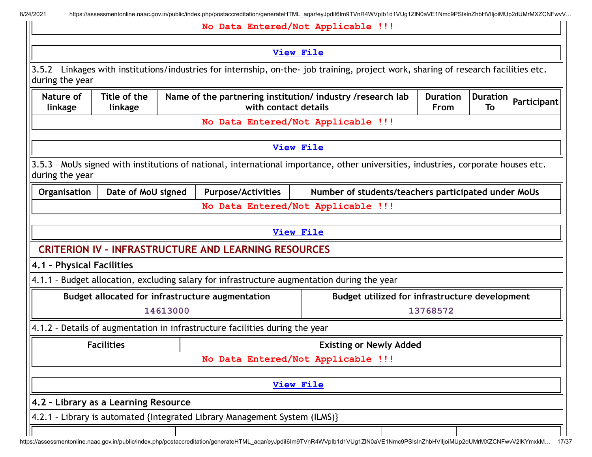8/24/2021 https://assessmentonline.naac.gov.in/public/index.php/postaccreditation/generateHTML\_aqar/eyJpdiI6Im9TVnR4WVpIb1d1VUg1ZlN0aVE1Nmc9PSIsInZhbHVIIjoiMUp2dUMrMXZCNFwvV...

|                           |                                      |          |                                                                                                                                               | No Data Entered/Not Applicable !!!                  |          |  |             |  |
|---------------------------|--------------------------------------|----------|-----------------------------------------------------------------------------------------------------------------------------------------------|-----------------------------------------------------|----------|--|-------------|--|
|                           |                                      |          |                                                                                                                                               | <b>View File</b>                                    |          |  |             |  |
| during the year           |                                      |          | 3.5.2 - Linkages with institutions/industries for internship, on-the- job training, project work, sharing of research facilities etc.         |                                                     |          |  |             |  |
| Nature of<br>linkage      | Title of the<br>linkage              |          | <b>Duration</b><br>Name of the partnering institution/ industry /research lab<br><b>Duration</b><br>with contact details<br><b>From</b><br>To |                                                     |          |  | Participant |  |
|                           |                                      |          |                                                                                                                                               | No Data Entered/Not Applicable !!!                  |          |  |             |  |
|                           |                                      |          |                                                                                                                                               | <b>View File</b>                                    |          |  |             |  |
| during the year           |                                      |          | 3.5.3 - MoUs signed with institutions of national, international importance, other universities, industries, corporate houses etc.            |                                                     |          |  |             |  |
| Organisation              | Date of MoU signed                   |          | <b>Purpose/Activities</b>                                                                                                                     | Number of students/teachers participated under MoUs |          |  |             |  |
|                           |                                      |          |                                                                                                                                               | No Data Entered/Not Applicable !!!                  |          |  |             |  |
|                           |                                      |          |                                                                                                                                               | <b>View File</b>                                    |          |  |             |  |
|                           |                                      |          | <b>CRITERION IV - INFRASTRUCTURE AND LEARNING RESOURCES</b>                                                                                   |                                                     |          |  |             |  |
| 4.1 - Physical Facilities |                                      |          |                                                                                                                                               |                                                     |          |  |             |  |
|                           |                                      |          | 4.1.1 - Budget allocation, excluding salary for infrastructure augmentation during the year                                                   |                                                     |          |  |             |  |
|                           |                                      |          | Budget allocated for infrastructure augmentation                                                                                              | Budget utilized for infrastructure development      |          |  |             |  |
|                           |                                      | 14613000 |                                                                                                                                               |                                                     | 13768572 |  |             |  |
|                           |                                      |          | 4.1.2 - Details of augmentation in infrastructure facilities during the year                                                                  |                                                     |          |  |             |  |
|                           | <b>Facilities</b>                    |          |                                                                                                                                               | <b>Existing or Newly Added</b>                      |          |  |             |  |
|                           |                                      |          |                                                                                                                                               | No Data Entered/Not Applicable !!!                  |          |  |             |  |
|                           |                                      |          |                                                                                                                                               | <b>View File</b>                                    |          |  |             |  |
|                           | 4.2 - Library as a Learning Resource |          |                                                                                                                                               |                                                     |          |  |             |  |
|                           |                                      |          | 4.2.1 - Library is automated {Integrated Library Management System (ILMS)}                                                                    |                                                     |          |  |             |  |
|                           |                                      |          |                                                                                                                                               |                                                     |          |  |             |  |

https://assessmentonline.naac.gov.in/public/index.php/postaccreditation/generateHTML\_aqar/eyJpdiI6Im9TVnR4WVpIb1d1VUg1ZlN0aVE1Nmc9PSIsInZhbHVlIjoiMUp2dUMrMXZCNFwvV2lKYmxkM… 17/37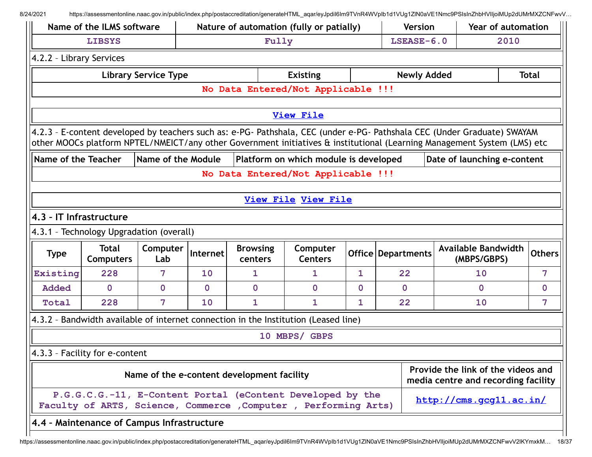8/24/2021 https://assessmentonline.naac.gov.in/public/index.php/postaccreditation/generateHTML\_aqar/eyJpdil6Im9TVnR4WVpIb1d1VUg1ZlN0aVE1Nmc9PSIsInZhbHVIIjoiMUp2dUMrMXZCNFwvV...

|                          | Name of the ILMS software                  |                             | Nature of automation (fully or patially) |                                            |                                                                                                                                                                                                                                                      |              | <b>Year of automation</b><br><b>Version</b> |                                                                           |  |               |
|--------------------------|--------------------------------------------|-----------------------------|------------------------------------------|--------------------------------------------|------------------------------------------------------------------------------------------------------------------------------------------------------------------------------------------------------------------------------------------------------|--------------|---------------------------------------------|---------------------------------------------------------------------------|--|---------------|
|                          | <b>LIBSYS</b>                              |                             |                                          |                                            | Fully                                                                                                                                                                                                                                                |              |                                             | 2010<br>$LSEASE-6.0$                                                      |  |               |
| 4.2.2 - Library Services |                                            |                             |                                          |                                            |                                                                                                                                                                                                                                                      |              |                                             |                                                                           |  |               |
|                          |                                            | <b>Library Service Type</b> |                                          |                                            | <b>Existing</b>                                                                                                                                                                                                                                      |              | <b>Newly Added</b>                          |                                                                           |  | <b>Total</b>  |
|                          |                                            |                             |                                          |                                            | No Data Entered/Not Applicable !!!                                                                                                                                                                                                                   |              |                                             |                                                                           |  |               |
|                          |                                            |                             |                                          |                                            |                                                                                                                                                                                                                                                      |              |                                             |                                                                           |  |               |
|                          |                                            |                             |                                          |                                            | <b>View File</b>                                                                                                                                                                                                                                     |              |                                             |                                                                           |  |               |
|                          |                                            |                             |                                          |                                            | 4.2.3 - E-content developed by teachers such as: e-PG- Pathshala, CEC (under e-PG- Pathshala CEC (Under Graduate) SWAYAM<br>other MOOCs platform NPTEL/NMEICT/any other Government initiatives & institutional (Learning Management System (LMS) etc |              |                                             |                                                                           |  |               |
| Name of the Teacher      |                                            | Name of the Module          |                                          |                                            | Platform on which module is developed                                                                                                                                                                                                                |              |                                             | Date of launching e-content                                               |  |               |
|                          |                                            |                             |                                          |                                            | No Data Entered/Not Applicable !!!                                                                                                                                                                                                                   |              |                                             |                                                                           |  |               |
|                          |                                            |                             |                                          |                                            |                                                                                                                                                                                                                                                      |              |                                             |                                                                           |  |               |
|                          |                                            |                             |                                          |                                            | <b>View File View File</b>                                                                                                                                                                                                                           |              |                                             |                                                                           |  |               |
| 4.3 - IT Infrastructure  |                                            |                             |                                          |                                            |                                                                                                                                                                                                                                                      |              |                                             |                                                                           |  |               |
|                          | 4.3.1 - Technology Upgradation (overall)   |                             |                                          |                                            |                                                                                                                                                                                                                                                      |              |                                             |                                                                           |  |               |
| <b>Type</b>              | <b>Total</b><br><b>Computers</b>           | Computer<br>Lab             | Internet                                 | <b>Browsing</b><br>centers                 | Computer<br><b>Centers</b>                                                                                                                                                                                                                           |              | <b>Office Departments</b>                   | <b>Available Bandwidth</b><br>(MBPS/GBPS)                                 |  | <b>Others</b> |
| Existing                 | 228                                        | 7                           | 10                                       | $\mathbf{1}$                               | $\mathbf{1}$                                                                                                                                                                                                                                         | $\mathbf{1}$ | 22                                          | 10                                                                        |  | 7             |
| <b>Added</b>             | $\mathbf 0$                                | $\mathbf 0$                 | $\mathbf 0$                              | $\mathbf 0$                                | $\mathbf 0$                                                                                                                                                                                                                                          | $\mathbf 0$  | $\mathbf 0$                                 | $\mathbf{O}$                                                              |  | $\mathbf 0$   |
| Total                    | 228                                        | 7                           | 10                                       | 1                                          | $\mathbf{1}$                                                                                                                                                                                                                                         | 1            | 22                                          | 10                                                                        |  | 7             |
|                          |                                            |                             |                                          |                                            | 4.3.2 - Bandwidth available of internet connection in the Institution (Leased line)                                                                                                                                                                  |              |                                             |                                                                           |  |               |
|                          |                                            |                             |                                          |                                            | 10 MBPS/ GBPS                                                                                                                                                                                                                                        |              |                                             |                                                                           |  |               |
|                          | 4.3.3 - Facility for e-content             |                             |                                          |                                            |                                                                                                                                                                                                                                                      |              |                                             |                                                                           |  |               |
|                          |                                            |                             |                                          | Name of the e-content development facility |                                                                                                                                                                                                                                                      |              |                                             | Provide the link of the videos and<br>media centre and recording facility |  |               |
|                          |                                            |                             |                                          |                                            | P.G.G.C.G.-11, E-Content Portal (eContent Developed by the<br>Faculty of ARTS, Science, Commerce , Computer , Performing Arts)                                                                                                                       |              |                                             | http://cms.gcg11.ac.in/                                                   |  |               |
|                          | 4.4 - Maintenance of Campus Infrastructure |                             |                                          |                                            |                                                                                                                                                                                                                                                      |              |                                             |                                                                           |  |               |
|                          |                                            |                             |                                          |                                            |                                                                                                                                                                                                                                                      |              |                                             |                                                                           |  |               |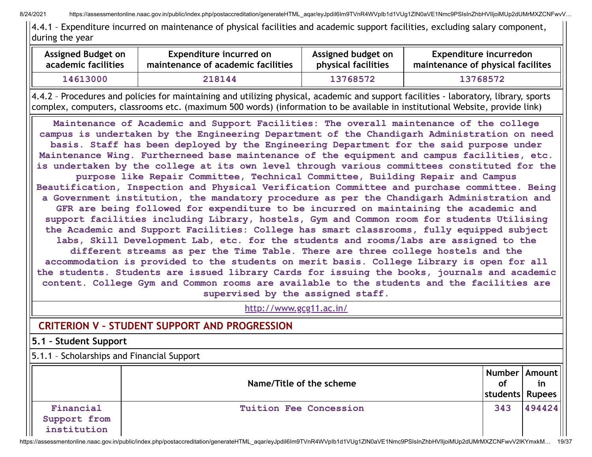8/24/2021 https://assessmentonline.naac.gov.in/public/index.php/postaccreditation/generateHTML\_aqar/eyJpdil6Im9TVnR4WVpIb1d1VUq1ZlN0aVE1Nmc9PSIsInZhbHVIIjoiMUp2dUMrMXZCNFwvV...

4.4.1 – Expenditure incurred on maintenance of physical facilities and academic support facilities, excluding salary component, during the year

| Assigned Budget on  | Expenditure incurred on            | Assigned budget on  | Expenditure incurredon            |
|---------------------|------------------------------------|---------------------|-----------------------------------|
| academic facilities | maintenance of academic facilities | physical facilities | maintenance of physical facilites |
| 14613000            | 218144                             | 13768572            | 13768572                          |

4.4.2 – Procedures and policies for maintaining and utilizing physical, academic and support facilities - laboratory, library, sports complex, computers, classrooms etc. (maximum 500 words) (information to be available in institutional Website, provide link)

**Maintenance of Academic and Support Facilities: The overall maintenance of the college campus is undertaken by the Engineering Department of the Chandigarh Administration on need basis. Staff has been deployed by the Engineering Department for the said purpose under Maintenance Wing. Furtherneed base maintenance of the equipment and campus facilities, etc. is undertaken by the college at its own level through various committees constituted for the purpose like Repair Committee, Technical Committee, Building Repair and Campus Beautification, Inspection and Physical Verification Committee and purchase committee. Being a Government institution, the mandatory procedure as per the Chandigarh Administration and GFR are being followed for expenditure to be incurred on maintaining the academic and support facilities including Library, hostels, Gym and Common room for students Utilising the Academic and Support Facilities: College has smart classrooms, fully equipped subject labs, Skill Development Lab, etc. for the students and rooms/labs are assigned to the different streams as per the Time Table. There are three college hostels and the accommodation is provided to the students on merit basis. College Library is open for all the students. Students are issued library Cards for issuing the books, journals and academic content. College Gym and Common rooms are available to the students and the facilities are supervised by the assigned staff.**

<http://www.gcg11.ac.in/>

# **CRITERION V – STUDENT SUPPORT AND PROGRESSION**

#### **5.1 – Student Support**

5.1.1 – Scholarships and Financial Support

|                                          | Name/Title of the scheme | 0f<br>students Rupees | Number   Amount   <br>1n |  |
|------------------------------------------|--------------------------|-----------------------|--------------------------|--|
| Financial<br>Support from<br>institution | Tuition Fee Concession   | 343                   | 494424                   |  |

https://assessmentonline.naac.gov.in/public/index.php/postaccreditation/generateHTML\_aqar/eyJpdiI6Im9TVnR4WVpIb1d1VUg1ZlN0aVE1Nmc9PSIsInZhbHVlIjoiMUp2dUMrMXZCNFwvV2lKYmxkM… 19/37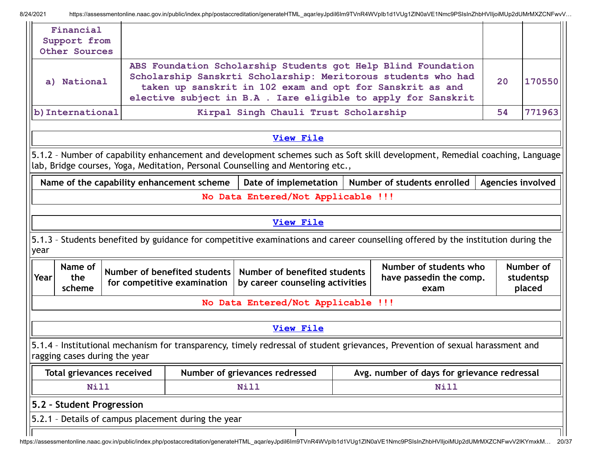8/24/2021 https://assessmentonline.naac.gov.in/public/index.php/postaccreditation/generateHTML\_aqar/eyJpdiI6Im9TVnR4WVpIb1d1VUg1ZlN0aVE1Nmc9PSIsInZhbHVIIjoiMUp2dUMrMXZCNFwvV...

| Financial<br>Support from<br>Other Sources                                                                                                                     |                           |                                                                                                                                                                                                                                                                              |                                                                                 |  |                                                                                                                                  |  |                                  |
|----------------------------------------------------------------------------------------------------------------------------------------------------------------|---------------------------|------------------------------------------------------------------------------------------------------------------------------------------------------------------------------------------------------------------------------------------------------------------------------|---------------------------------------------------------------------------------|--|----------------------------------------------------------------------------------------------------------------------------------|--|----------------------------------|
| a) National                                                                                                                                                    |                           | ABS Foundation Scholarship Students got Help Blind Foundation<br>Scholarship Sanskrti Scholarship: Meritorous students who had<br>20<br>170550<br>taken up sanskrit in 102 exam and opt for Sanskrit as and<br>elective subject in B.A . Iare eligible to apply for Sanskrit |                                                                                 |  |                                                                                                                                  |  |                                  |
| b) International                                                                                                                                               |                           | Kirpal Singh Chauli Trust Scholarship                                                                                                                                                                                                                                        |                                                                                 |  |                                                                                                                                  |  | 771963                           |
|                                                                                                                                                                |                           |                                                                                                                                                                                                                                                                              | View File                                                                       |  |                                                                                                                                  |  |                                  |
|                                                                                                                                                                |                           |                                                                                                                                                                                                                                                                              | lab, Bridge courses, Yoga, Meditation, Personal Counselling and Mentoring etc., |  | 5.1.2 - Number of capability enhancement and development schemes such as Soft skill development, Remedial coaching, Language     |  |                                  |
|                                                                                                                                                                |                           | Name of the capability enhancement scheme                                                                                                                                                                                                                                    | Date of implemetation                                                           |  | Number of students enrolled                                                                                                      |  | Agencies involved                |
|                                                                                                                                                                |                           |                                                                                                                                                                                                                                                                              | No Data Entered/Not Applicable !!!                                              |  |                                                                                                                                  |  |                                  |
|                                                                                                                                                                |                           |                                                                                                                                                                                                                                                                              | <b>View File</b>                                                                |  |                                                                                                                                  |  |                                  |
| year                                                                                                                                                           |                           |                                                                                                                                                                                                                                                                              |                                                                                 |  | 5.1.3 - Students benefited by guidance for competitive examinations and career counselling offered by the institution during the |  |                                  |
| Name of<br>Year<br>the<br>scheme                                                                                                                               |                           | Number of benefited students<br>for competitive examination                                                                                                                                                                                                                  | Number of benefited students<br>by career counseling activities                 |  | Number of students who<br>have passedin the comp.<br>exam                                                                        |  | Number of<br>studentsp<br>placed |
|                                                                                                                                                                |                           |                                                                                                                                                                                                                                                                              | No Data Entered/Not Applicable !!!                                              |  |                                                                                                                                  |  |                                  |
|                                                                                                                                                                |                           |                                                                                                                                                                                                                                                                              | <b>View File</b>                                                                |  |                                                                                                                                  |  |                                  |
| 5.1.4 - Institutional mechanism for transparency, timely redressal of student grievances, Prevention of sexual harassment and<br>ragging cases during the year |                           |                                                                                                                                                                                                                                                                              |                                                                                 |  |                                                                                                                                  |  |                                  |
| Avg. number of days for grievance redressal<br><b>Total grievances received</b><br>Number of grievances redressed                                              |                           |                                                                                                                                                                                                                                                                              |                                                                                 |  |                                                                                                                                  |  |                                  |
| Nill                                                                                                                                                           |                           |                                                                                                                                                                                                                                                                              | <b>Nill</b>                                                                     |  | Nill                                                                                                                             |  |                                  |
|                                                                                                                                                                | 5.2 - Student Progression |                                                                                                                                                                                                                                                                              |                                                                                 |  |                                                                                                                                  |  |                                  |
| 5.2.1 - Details of campus placement during the year                                                                                                            |                           |                                                                                                                                                                                                                                                                              |                                                                                 |  |                                                                                                                                  |  |                                  |
|                                                                                                                                                                |                           |                                                                                                                                                                                                                                                                              |                                                                                 |  |                                                                                                                                  |  |                                  |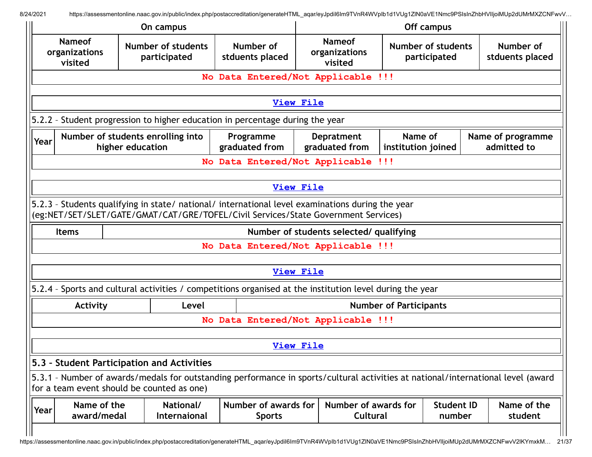| Off campus<br>On campus                   |                                                                                                                                                                                        |                                       |                                           |                                                                    |                                  |  |  |  |
|-------------------------------------------|----------------------------------------------------------------------------------------------------------------------------------------------------------------------------------------|---------------------------------------|-------------------------------------------|--------------------------------------------------------------------|----------------------------------|--|--|--|
| <b>Nameof</b><br>organizations<br>visited | <b>Number of students</b><br>participated                                                                                                                                              | Number of<br>stduents placed          | <b>Nameof</b><br>organizations<br>visited | Number of<br>Number of students<br>stduents placed<br>participated |                                  |  |  |  |
|                                           | No Data Entered/Not Applicable !!!                                                                                                                                                     |                                       |                                           |                                                                    |                                  |  |  |  |
|                                           |                                                                                                                                                                                        |                                       | <b>View File</b>                          |                                                                    |                                  |  |  |  |
|                                           |                                                                                                                                                                                        |                                       |                                           |                                                                    |                                  |  |  |  |
|                                           | 5.2.2 - Student progression to higher education in percentage during the year                                                                                                          |                                       |                                           |                                                                    |                                  |  |  |  |
| Year                                      | Number of students enrolling into<br>higher education                                                                                                                                  | Programme<br>graduated from           | <b>Depratment</b><br>graduated from       | Name of<br>institution joined                                      | Name of programme<br>admitted to |  |  |  |
|                                           |                                                                                                                                                                                        | No Data Entered/Not Applicable        |                                           | <b>111</b>                                                         |                                  |  |  |  |
|                                           |                                                                                                                                                                                        |                                       |                                           |                                                                    |                                  |  |  |  |
|                                           |                                                                                                                                                                                        |                                       | <b>View File</b>                          |                                                                    |                                  |  |  |  |
|                                           | 5.2.3 - Students qualifying in state/ national/ international level examinations during the year<br>(eg:NET/SET/SLET/GATE/GMAT/CAT/GRE/TOFEL/Civil Services/State Government Services) |                                       |                                           |                                                                    |                                  |  |  |  |
| <b>Items</b>                              |                                                                                                                                                                                        |                                       | Number of students selected/ qualifying   |                                                                    |                                  |  |  |  |
|                                           |                                                                                                                                                                                        |                                       | No Data Entered/Not Applicable !!!        |                                                                    |                                  |  |  |  |
|                                           |                                                                                                                                                                                        |                                       |                                           |                                                                    |                                  |  |  |  |
|                                           |                                                                                                                                                                                        |                                       | View File                                 |                                                                    |                                  |  |  |  |
|                                           | 5.2.4 - Sports and cultural activities / competitions organised at the institution level during the year                                                                               |                                       |                                           |                                                                    |                                  |  |  |  |
| Activity                                  | Level                                                                                                                                                                                  |                                       |                                           | <b>Number of Participants</b>                                      |                                  |  |  |  |
|                                           |                                                                                                                                                                                        |                                       | No Data Entered/Not Applicable !!!        |                                                                    |                                  |  |  |  |
|                                           |                                                                                                                                                                                        |                                       |                                           |                                                                    |                                  |  |  |  |
|                                           |                                                                                                                                                                                        |                                       | View File                                 |                                                                    |                                  |  |  |  |
|                                           | 5.3 - Student Participation and Activities                                                                                                                                             |                                       |                                           |                                                                    |                                  |  |  |  |
|                                           | 5.3.1 - Number of awards/medals for outstanding performance in sports/cultural activities at national/international level (award<br>for a team event should be counted as one)         |                                       |                                           |                                                                    |                                  |  |  |  |
| Name of the<br>Year<br>award/medal        | National/<br>Internaional                                                                                                                                                              | Number of awards for<br><b>Sports</b> | Number of awards for<br>Cultural          | <b>Student ID</b><br>number                                        | Name of the<br>student           |  |  |  |
|                                           |                                                                                                                                                                                        |                                       |                                           |                                                                    |                                  |  |  |  |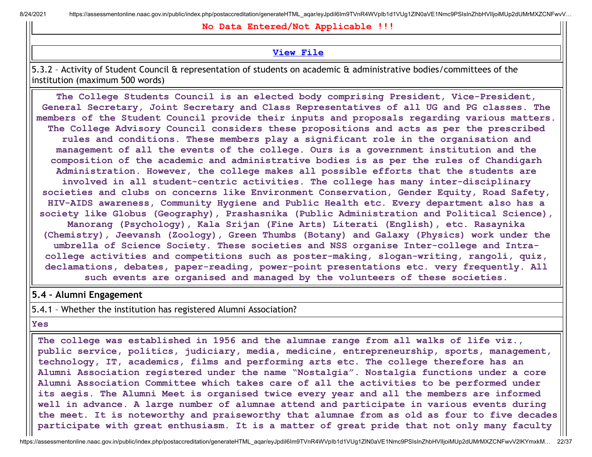8/24/2021 https://assessmentonline.naac.gov.in/public/index.php/postaccreditation/generateHTML aqar/eyJpdil6Im9TVnR4WVpIb1d1VUg1ZlN0aVE1Nmc9PSIsInZhbHVIIjoiMUp2dUMrMXZCNFwvV...

**No Data Entered/Not Applicable !!!**

#### **[View](https://assessmentonline.naac.gov.in/public/Postacc/awards_in_activities/10691_awards_in_activities_1626764294.xlsx) File**

5.3.2 – Activity of Student Council & representation of students on academic & administrative bodies/committees of the institution (maximum 500 words)

**The College Students Council is an elected body comprising President, Vice-President, General Secretary, Joint Secretary and Class Representatives of all UG and PG classes. The members of the Student Council provide their inputs and proposals regarding various matters. The College Advisory Council considers these propositions and acts as per the prescribed rules and conditions. These members play a significant role in the organisation and management of all the events of the college. Ours is a government institution and the composition of the academic and administrative bodies is as per the rules of Chandigarh Administration. However, the college makes all possible efforts that the students are involved in all student-centric activities. The college has many inter-disciplinary societies and clubs on concerns like Environment Conservation, Gender Equity, Road Safety, HIV-AIDS awareness, Community Hygiene and Public Health etc. Every department also has a society like Globus (Geography), Prashasnika (Public Administration and Political Science), Manorang (Psychology), Kala Srijan (Fine Arts) Literati (English), etc. Rasaynika (Chemistry), Jeevansh (Zoology), Green Thumbs (Botany) and Galaxy (Physics) work under the umbrella of Science Society. These societies and NSS organise Inter-college and Intracollege activities and competitions such as poster-making, slogan-writing, rangoli, quiz, declamations, debates, paper-reading, power-point presentations etc. very frequently. All such events are organised and managed by the volunteers of these societies.**

#### **5.4 – Alumni Engagement**

5.4.1 – Whether the institution has registered Alumni Association?

**Yes**

**The college was established in 1956 and the alumnae range from all walks of life viz., public service, politics, judiciary, media, medicine, entrepreneurship, sports, management, technology, IT, academics, films and performing arts etc. The college therefore has an Alumni Association registered under the name "Nostalgia". Nostalgia functions under a core Alumni Association Committee which takes care of all the activities to be performed under its aegis. The Alumni Meet is organised twice every year and all the members are informed well in advance. A large number of alumnae attend and participate in various events during the meet. It is noteworthy and praiseworthy that alumnae from as old as four to five decades participate with great enthusiasm. It is a matter of great pride that not only many faculty**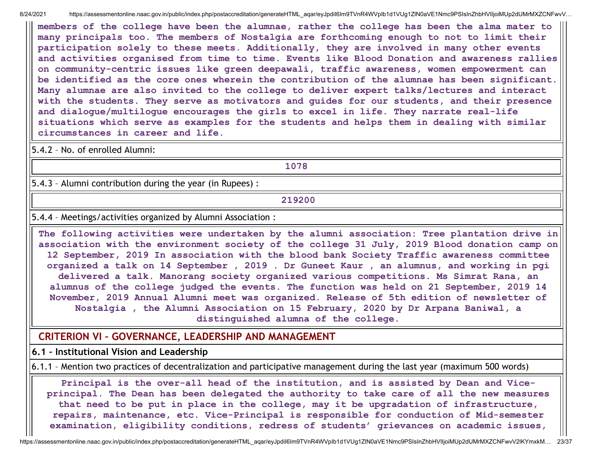**members of the college have been the alumnae, rather the college has been the alma mater to many principals too. The members of Nostalgia are forthcoming enough to not to limit their participation solely to these meets. Additionally, they are involved in many other events and activities organised from time to time. Events like Blood Donation and awareness rallies on community-centric issues like green deepawali, traffic awareness, women empowerment can be identified as the core ones wherein the contribution of the alumnae has been significant. Many alumnae are also invited to the college to deliver expert talks/lectures and interact with the students. They serve as motivators and guides for our students, and their presence and dialogue/multilogue encourages the girls to excel in life. They narrate real-life situations which serve as examples for the students and helps them in dealing with similar circumstances in career and life.**

5.4.2 – No. of enrolled Alumni:

**1078**

5.4.3 – Alumni contribution during the year (in Rupees) :

#### **219200**

5.4.4 – Meetings/activities organized by Alumni Association :

**The following activities were undertaken by the alumni association: Tree plantation drive in association with the environment society of the college 31 July, 2019 Blood donation camp on 12 September, 2019 In association with the blood bank Society Traffic awareness committee organized a talk on 14 September , 2019 . Dr Guneet Kaur , an alumnus, and working in pgi delivered a talk. Manorang society organized various competitions. Ms Simrat Rana, an alumnus of the college judged the events. The function was held on 21 September, 2019 14 November, 2019 Annual Alumni meet was organized. Release of 5th edition of newsletter of Nostalgia , the Alumni Association on 15 February, 2020 by Dr Arpana Baniwal, a distinguished alumna of the college.**

## **CRITERION VI – GOVERNANCE, LEADERSHIP AND MANAGEMENT**

**6.1 – Institutional Vision and Leadership**

6.1.1 – Mention two practices of decentralization and participative management during the last year (maximum 500 words)

**Principal is the over-all head of the institution, and is assisted by Dean and Viceprincipal. The Dean has been delegated the authority to take care of all the new measures that need to be put in place in the college, may it be upgradation of infrastructure, repairs, maintenance, etc. Vice-Principal is responsible for conduction of Mid-semester examination, eligibility conditions, redress of students' grievances on academic issues,**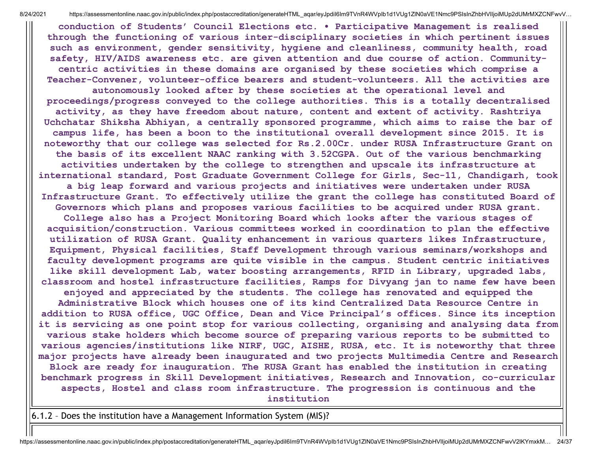**conduction of Students' Council Elections etc. • Participative Management is realised through the functioning of various inter-disciplinary societies in which pertinent issues such as environment, gender sensitivity, hygiene and cleanliness, community health, road safety, HIV/AIDS awareness etc. are given attention and due course of action. Communitycentric activities in these domains are organised by these societies which comprise a Teacher-Convener, volunteer-office bearers and student-volunteers. All the activities are**

**autonomously looked after by these societies at the operational level and proceedings/progress conveyed to the college authorities. This is a totally decentralised activity, as they have freedom about nature, content and extent of activity. Rashtriya Uchchatar Shiksha Abhiyan, a centrally sponsored programme, which aims to raise the bar of campus life, has been a boon to the institutional overall development since 2015. It is noteworthy that our college was selected for Rs.2.00Cr. under RUSA Infrastructure Grant on the basis of its excellent NAAC ranking with 3.52CGPA. Out of the various benchmarking activities undertaken by the college to strengthen and upscale its infrastructure at international standard, Post Graduate Government College for Girls, Sec-11, Chandigarh, took a big leap forward and various projects and initiatives were undertaken under RUSA Infrastructure Grant. To effectively utilize the grant the college has constituted Board of Governors which plans and proposes various facilities to be acquired under RUSA grant. College also has a Project Monitoring Board which looks after the various stages of acquisition/construction. Various committees worked in coordination to plan the effective utilization of RUSA Grant. Quality enhancement in various quarters likes Infrastructure, Equipment, Physical facilities, Staff Development through various seminars/workshops and faculty development programs are quite visible in the campus. Student centric initiatives like skill development Lab, water boosting arrangements, RFID in Library, upgraded labs, classroom and hostel infrastructure facilities, Ramps for Divyang jan to name few have been enjoyed and appreciated by the students. The college has renovated and equipped the Administrative Block which houses one of its kind Centralized Data Resource Centre in addition to RUSA office, UGC Office, Dean and Vice Principal's offices. Since its inception it is servicing as one point stop for various collecting, organising and analysing data from various stake holders which become source of preparing various reports to be submitted to various agencies/institutions like NIRF, UGC, AISHE, RUSA, etc. It is noteworthy that three major projects have already been inaugurated and two projects Multimedia Centre and Research Block are ready for inauguration. The RUSA Grant has enabled the institution in creating benchmark progress in Skill Development initiatives, Research and Innovation, co-curricular aspects, Hostel and class room infrastructure. The progression is continuous and the institution**

6.1.2 – Does the institution have a Management Information System (MIS)?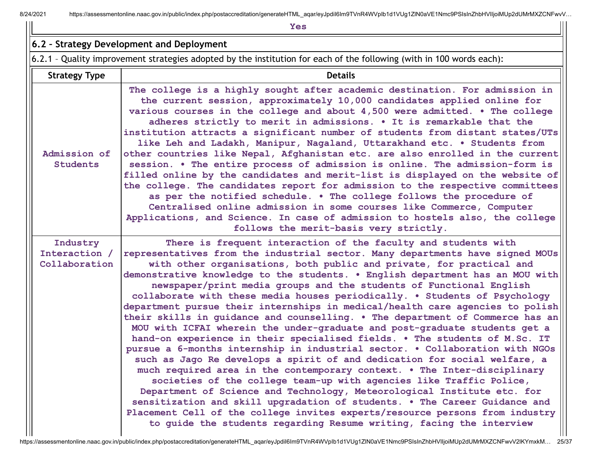8/24/2021 https://assessmentonline.naac.gov.in/public/index.php/postaccreditation/generateHTML\_aqar/eyJpdil6Im9TVnR4WVpIb1d1VUg1ZlN0aVE1Nmc9PSIsInZhbHVIIjoiMUp2dUMrMXZCNFwvV...

|                                            | <b>Yes</b>                                                                                                                                                                                                                                                                                                                                                                                                                                                                                                                                                                                                                                                                                                                                                                                                                                                                                                                                                                                                                                                                                                                                                                                                                                                                                                                                           |
|--------------------------------------------|------------------------------------------------------------------------------------------------------------------------------------------------------------------------------------------------------------------------------------------------------------------------------------------------------------------------------------------------------------------------------------------------------------------------------------------------------------------------------------------------------------------------------------------------------------------------------------------------------------------------------------------------------------------------------------------------------------------------------------------------------------------------------------------------------------------------------------------------------------------------------------------------------------------------------------------------------------------------------------------------------------------------------------------------------------------------------------------------------------------------------------------------------------------------------------------------------------------------------------------------------------------------------------------------------------------------------------------------------|
|                                            | 6.2 - Strategy Development and Deployment                                                                                                                                                                                                                                                                                                                                                                                                                                                                                                                                                                                                                                                                                                                                                                                                                                                                                                                                                                                                                                                                                                                                                                                                                                                                                                            |
|                                            | 6.2.1 - Quality improvement strategies adopted by the institution for each of the following (with in 100 words each):                                                                                                                                                                                                                                                                                                                                                                                                                                                                                                                                                                                                                                                                                                                                                                                                                                                                                                                                                                                                                                                                                                                                                                                                                                |
| <b>Strategy Type</b>                       | <b>Details</b>                                                                                                                                                                                                                                                                                                                                                                                                                                                                                                                                                                                                                                                                                                                                                                                                                                                                                                                                                                                                                                                                                                                                                                                                                                                                                                                                       |
| Admission of<br><b>Students</b>            | The college is a highly sought after academic destination. For admission in<br>the current session, approximately 10,000 candidates applied online for<br>various courses in the college and about 4,500 were admitted. . The college<br>adheres strictly to merit in admissions. . It is remarkable that the<br>institution attracts a significant number of students from distant states/UTs<br>like Leh and Ladakh, Manipur, Nagaland, Uttarakhand etc. . Students from<br>other countries like Nepal, Afghanistan etc. are also enrolled in the current<br>session. . The entire process of admission is online. The admission-form is<br>filled online by the candidates and merit-list is displayed on the website of<br>the college. The candidates report for admission to the respective committees<br>as per the notified schedule. . The college follows the procedure of<br>Centralised online admission in some courses like Commerce, Computer<br>Applications, and Science. In case of admission to hostels also, the college<br>follows the merit-basis very strictly.                                                                                                                                                                                                                                                               |
| Industry<br>Interaction /<br>Collaboration | There is frequent interaction of the faculty and students with<br>representatives from the industrial sector. Many departments have signed MOUs<br>with other organisations, both public and private, for practical and<br>demonstrative knowledge to the students. . English department has an MOU with<br>newspaper/print media groups and the students of Functional English<br>collaborate with these media houses periodically. . Students of Psychology<br>department pursue their internships in medical/health care agencies to polish<br>their skills in guidance and counselling. . The department of Commerce has an<br>MOU with ICFAI wherein the under-graduate and post-graduate students get a<br>hand-on experience in their specialised fields. . The students of M.Sc. IT<br>pursue a 6-months internship in industrial sector. . Collaboration with NGOs<br>such as Jago Re develops a spirit of and dedication for social welfare, a<br>much required area in the contemporary context. . The Inter-disciplinary<br>societies of the college team-up with agencies like Traffic Police,<br>Department of Science and Technology, Meteorological Institute etc. for<br>sensitization and skill upgradation of students. . The Career Guidance and<br>Placement Cell of the college invites experts/resource persons from industry |

 $\mathbf{H}$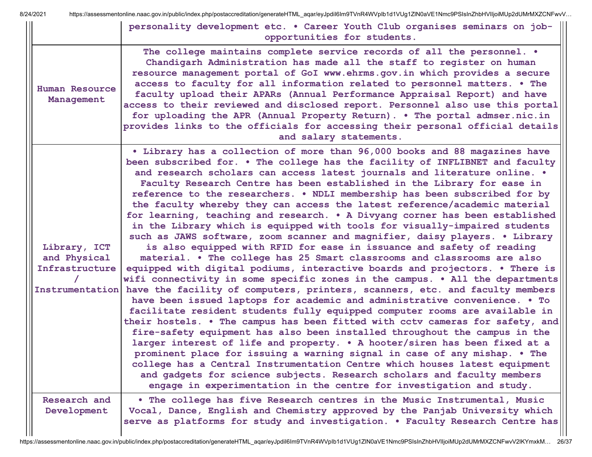|                                                                   | personality development etc. . Career Youth Club organises seminars on job-<br>opportunities for students.                                                                                                                                                                                                                                                                                                                                                                                                                                                                                                                                                                                                                                                                                                                                                                                                                                                                                                                                                                                                                                                                                                                                                                                                                                                                                                                                                                                                                                                                                                                                                                                                                                                                                                                                               |
|-------------------------------------------------------------------|----------------------------------------------------------------------------------------------------------------------------------------------------------------------------------------------------------------------------------------------------------------------------------------------------------------------------------------------------------------------------------------------------------------------------------------------------------------------------------------------------------------------------------------------------------------------------------------------------------------------------------------------------------------------------------------------------------------------------------------------------------------------------------------------------------------------------------------------------------------------------------------------------------------------------------------------------------------------------------------------------------------------------------------------------------------------------------------------------------------------------------------------------------------------------------------------------------------------------------------------------------------------------------------------------------------------------------------------------------------------------------------------------------------------------------------------------------------------------------------------------------------------------------------------------------------------------------------------------------------------------------------------------------------------------------------------------------------------------------------------------------------------------------------------------------------------------------------------------------|
| Human Resource<br>Management                                      | The college maintains complete service records of all the personnel. .<br>Chandigarh Administration has made all the staff to register on human<br>resource management portal of GoI www.ehrms.gov.in which provides a secure<br>access to faculty for all information related to personnel matters. . The<br>faculty upload their APARs (Annual Performance Appraisal Report) and have<br>access to their reviewed and disclosed report. Personnel also use this portal<br>for uploading the APR (Annual Property Return). . The portal admser.nic.in<br>provides links to the officials for accessing their personal official details<br>and salary statements.                                                                                                                                                                                                                                                                                                                                                                                                                                                                                                                                                                                                                                                                                                                                                                                                                                                                                                                                                                                                                                                                                                                                                                                        |
| Library, ICT<br>and Physical<br>Infrastructure<br>Instrumentation | . Library has a collection of more than 96,000 books and 88 magazines have<br>been subscribed for. . The college has the facility of INFLIBNET and faculty<br>and research scholars can access latest journals and literature online. .<br>Faculty Research Centre has been established in the Library for ease in<br>reference to the researchers. . NDLI membership has been subscribed for by<br>the faculty whereby they can access the latest reference/academic material<br>for learning, teaching and research. . A Divyang corner has been established<br>in the Library which is equipped with tools for visually-impaired students<br>such as JAWS software, zoom scanner and magnifier, daisy players. . Library<br>is also equipped with RFID for ease in issuance and safety of reading<br>material. . The college has 25 Smart classrooms and classrooms are also<br>equipped with digital podiums, interactive boards and projectors. . There is<br>wifi connectivity in some specific zones in the campus. . All the departments<br>have the facility of computers, printers, scanners, etc. and faculty members<br>have been issued laptops for academic and administrative convenience. • To<br>facilitate resident students fully equipped computer rooms are available in<br>their hostels. . The campus has been fitted with cctv cameras for safety, and<br>fire-safety equipment has also been installed throughout the campus in the<br>larger interest of life and property. • A hooter/siren has been fixed at a<br>prominent place for issuing a warning signal in case of any mishap. . The<br>college has a Central Instrumentation Centre which houses latest equipment<br>and gadgets for science subjects. Research scholars and faculty members<br>engage in experimentation in the centre for investigation and study. |
| Research and<br>Development                                       | . The college has five Research centres in the Music Instrumental, Music<br>Vocal, Dance, English and Chemistry approved by the Panjab University which<br>serve as platforms for study and investigation. . Faculty Research Centre has                                                                                                                                                                                                                                                                                                                                                                                                                                                                                                                                                                                                                                                                                                                                                                                                                                                                                                                                                                                                                                                                                                                                                                                                                                                                                                                                                                                                                                                                                                                                                                                                                 |

 $\mathbf{I}$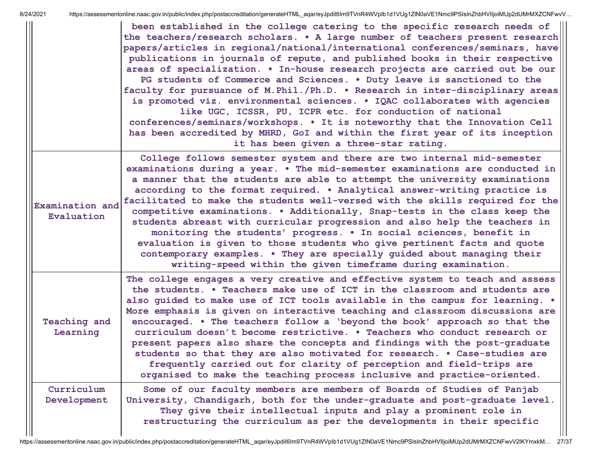|                                 | been established in the college catering to the specific research needs of<br>the teachers/research scholars. . A large number of teachers present research<br>papers/articles in regional/national/international conferences/seminars, have<br>publications in journals of repute, and published books in their respective<br>areas of specialization. . In-house research projects are carried out be our<br>PG students of Commerce and Sciences. . Duty leave is sanctioned to the<br>faculty for pursuance of M.Phil./Ph.D. . Research in inter-disciplinary areas<br>is promoted viz. environmental sciences. . IQAC collaborates with agencies<br>like UGC, ICSSR, PU, ICPR etc. for conduction of national<br>conferences/seminars/workshops. • It is noteworthy that the Innovation Cell<br>has been accredited by MHRD, GoI and within the first year of its inception<br>it has been given a three-star rating. |
|---------------------------------|----------------------------------------------------------------------------------------------------------------------------------------------------------------------------------------------------------------------------------------------------------------------------------------------------------------------------------------------------------------------------------------------------------------------------------------------------------------------------------------------------------------------------------------------------------------------------------------------------------------------------------------------------------------------------------------------------------------------------------------------------------------------------------------------------------------------------------------------------------------------------------------------------------------------------|
| Examination and<br>Evaluation   | College follows semester system and there are two internal mid-semester<br>examinations during a year. . The mid-semester examinations are conducted in<br>a manner that the students are able to attempt the university examinations<br>according to the format required. . Analytical answer-writing practice is<br>facilitated to make the students well-versed with the skills required for the<br>competitive examinations. . Additionally, Snap-tests in the class keep the<br>students abreast with curricular progression and also help the teachers in<br>monitoring the students' progress. . In social sciences, benefit in<br>evaluation is given to those students who give pertinent facts and quote<br>contemporary examples. . They are specially guided about managing their<br>writing-speed within the given timeframe during examination.                                                              |
| <b>Teaching and</b><br>Learning | The college engages a very creative and effective system to teach and assess<br>the students. . Teachers make use of ICT in the classroom and students are<br>also guided to make use of ICT tools available in the campus for learning. .<br>More emphasis is given on interactive teaching and classroom discussions are<br>encouraged. . The teachers follow a 'beyond the book' approach so that the<br>curriculum doesn't become restrictive. . Teachers who conduct research or<br>present papers also share the concepts and findings with the post-graduate<br>students so that they are also motivated for research. . Case-studies are<br>frequently carried out for clarity of perception and field-trips are<br>organised to make the teaching process inclusive and practice-oriented.                                                                                                                        |
| Curriculum<br>Development       | Some of our faculty members are members of Boards of Studies of Panjab<br>University, Chandigarh, both for the under-graduate and post-graduate level.<br>They give their intellectual inputs and play a prominent role in<br>restructuring the curriculum as per the developments in their specific                                                                                                                                                                                                                                                                                                                                                                                                                                                                                                                                                                                                                       |

 $\mathbf{H}$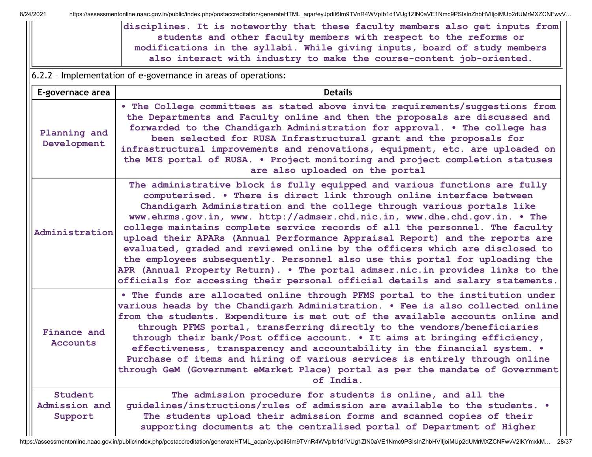8/24/2021 https://assessmentonline.naac.gov.in/public/index.php/postaccreditation/generateHTML\_aqar/eyJpdiI6Im9TVnR4WVpIb1d1VUg1ZlN0aVE1Nmc9PSIsInZhbHVIIjoiMUp2dUMrMXZCNFwvV...

| disciplines. It is noteworthy that these faculty members also get inputs from |
|-------------------------------------------------------------------------------|
| students and other faculty members with respect to the reforms or             |
| modifications in the syllabi. While giving inputs, board of study members     |
| also interact with industry to make the course-content job-oriented.          |

6.2.2 – Implementation of e-governance in areas of operations:

| E-governace area                    | <b>Details</b>                                                                                                                                                                                                                                                                                                                                                                                                                                                                                                                                                                                                                                                                                                                                                                                                  |
|-------------------------------------|-----------------------------------------------------------------------------------------------------------------------------------------------------------------------------------------------------------------------------------------------------------------------------------------------------------------------------------------------------------------------------------------------------------------------------------------------------------------------------------------------------------------------------------------------------------------------------------------------------------------------------------------------------------------------------------------------------------------------------------------------------------------------------------------------------------------|
| Planning and<br>Development         | . The College committees as stated above invite requirements/suggestions from<br>the Departments and Faculty online and then the proposals are discussed and<br>forwarded to the Chandigarh Administration for approval. . The college has<br>been selected for RUSA Infrastructural grant and the proposals for<br>infrastructural improvements and renovations, equipment, etc. are uploaded on<br>the MIS portal of RUSA. . Project monitoring and project completion statuses<br>are also uploaded on the portal                                                                                                                                                                                                                                                                                            |
| Administration                      | The administrative block is fully equipped and various functions are fully<br>computerised. . There is direct link through online interface between<br>Chandigarh Administration and the college through various portals like<br>www.ehrms.gov.in, www. http://admser.chd.nic.in, www.dhe.chd.gov.in. • The<br>college maintains complete service records of all the personnel. The faculty<br>upload their APARs (Annual Performance Appraisal Report) and the reports are<br>evaluated, graded and reviewed online by the officers which are disclosed to<br>the employees subsequently. Personnel also use this portal for uploading the<br>APR (Annual Property Return). . The portal admser.nic.in provides links to the<br>officials for accessing their personal official details and salary statements. |
| Finance and<br><b>Accounts</b>      | . The funds are allocated online through PFMS portal to the institution under<br>various heads by the Chandigarh Administration. . Fee is also collected online<br>from the students. Expenditure is met out of the available accounts online and<br>through PFMS portal, transferring directly to the vendors/beneficiaries<br>through their bank/Post office account. . It aims at bringing efficiency,<br>effectiveness, transparency and accountability in the financial system. .<br>Purchase of items and hiring of various services is entirely through online<br>through GeM (Government eMarket Place) portal as per the mandate of Government<br>of India.                                                                                                                                            |
| Student<br>Admission and<br>Support | The admission procedure for students is online, and all the<br>quidelines/instructions/rules of admission are available to the students. .<br>The students upload their admission forms and scanned copies of their<br>supporting documents at the centralised portal of Department of Higher                                                                                                                                                                                                                                                                                                                                                                                                                                                                                                                   |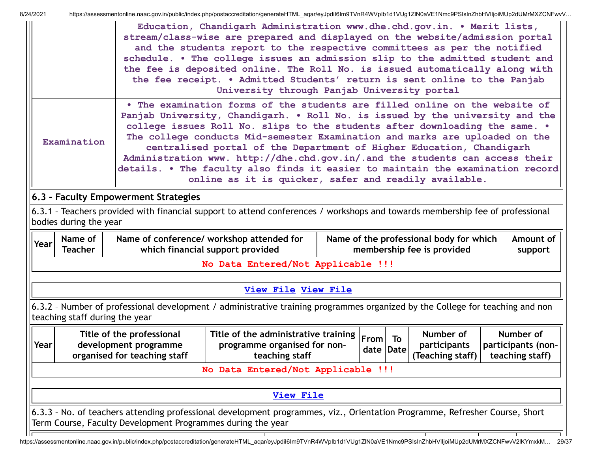| HZUZ I |                                                                                                                                                                                                                                                                                                                                                                                                                                                                                                                                                                                                                                              |                                                                                    | ntips://assessmentonine.naac.gov.in/public/index.php/postaccreditation/generateHTML_aqar/eyJpunom9TVnR4WVplDTdTVOgTZhV0aVETNmc9PSISINZhDHVIIJ0IMOpZuOMNAZCNFWVV<br>Education, Chandigarh Administration www.dhe.chd.gov.in. . Merit lists, |  |                   |    |                                                                       |  |                                                    |  |
|--------|----------------------------------------------------------------------------------------------------------------------------------------------------------------------------------------------------------------------------------------------------------------------------------------------------------------------------------------------------------------------------------------------------------------------------------------------------------------------------------------------------------------------------------------------------------------------------------------------------------------------------------------------|------------------------------------------------------------------------------------|--------------------------------------------------------------------------------------------------------------------------------------------------------------------------------------------------------------------------------------------|--|-------------------|----|-----------------------------------------------------------------------|--|----------------------------------------------------|--|
|        | stream/class-wise are prepared and displayed on the website/admission portal<br>and the students report to the respective committees as per the notified<br>schedule. . The college issues an admission slip to the admitted student and<br>the fee is deposited online. The Roll No. is issued automatically along with<br>the fee receipt. . Admitted Students' return is sent online to the Panjab<br>University through Panjab University portal                                                                                                                                                                                         |                                                                                    |                                                                                                                                                                                                                                            |  |                   |    |                                                                       |  |                                                    |  |
|        | . The examination forms of the students are filled online on the website of<br>Panjab University, Chandigarh. . Roll No. is issued by the university and the<br>college issues Roll No. slips to the students after downloading the same. .<br>The college conducts Mid-semester Examination and marks are uploaded on the<br>Examination<br>centralised portal of the Department of Higher Education, Chandigarh<br>Administration www. http://dhe.chd.gov.in/.and the students can access their<br>details. . The faculty also finds it easier to maintain the examination record<br>online as it is quicker, safer and readily available. |                                                                                    |                                                                                                                                                                                                                                            |  |                   |    |                                                                       |  |                                                    |  |
|        |                                                                                                                                                                                                                                                                                                                                                                                                                                                                                                                                                                                                                                              | 6.3 - Faculty Empowerment Strategies                                               |                                                                                                                                                                                                                                            |  |                   |    |                                                                       |  |                                                    |  |
|        | bodies during the year                                                                                                                                                                                                                                                                                                                                                                                                                                                                                                                                                                                                                       |                                                                                    | 6.3.1 - Teachers provided with financial support to attend conferences / workshops and towards membership fee of professional                                                                                                              |  |                   |    |                                                                       |  |                                                    |  |
| Year   | Name of<br><b>Teacher</b>                                                                                                                                                                                                                                                                                                                                                                                                                                                                                                                                                                                                                    |                                                                                    | Name of conference/ workshop attended for<br>which financial support provided                                                                                                                                                              |  |                   |    | Name of the professional body for which<br>membership fee is provided |  | Amount of<br>support                               |  |
|        |                                                                                                                                                                                                                                                                                                                                                                                                                                                                                                                                                                                                                                              |                                                                                    | No Data Entered/Not Applicable !!!                                                                                                                                                                                                         |  |                   |    |                                                                       |  |                                                    |  |
|        |                                                                                                                                                                                                                                                                                                                                                                                                                                                                                                                                                                                                                                              |                                                                                    |                                                                                                                                                                                                                                            |  |                   |    |                                                                       |  |                                                    |  |
|        |                                                                                                                                                                                                                                                                                                                                                                                                                                                                                                                                                                                                                                              |                                                                                    | <b>View File View File</b>                                                                                                                                                                                                                 |  |                   |    |                                                                       |  |                                                    |  |
|        | teaching staff during the year                                                                                                                                                                                                                                                                                                                                                                                                                                                                                                                                                                                                               |                                                                                    | 6.3.2 - Number of professional development / administrative training programmes organized by the College for teaching and non                                                                                                              |  |                   |    |                                                                       |  |                                                    |  |
| Year   |                                                                                                                                                                                                                                                                                                                                                                                                                                                                                                                                                                                                                                              | Title of the professional<br>development programme<br>organised for teaching staff | Title of the administrative training<br>programme organised for non-<br>teaching staff                                                                                                                                                     |  | From<br>date Date | To | Number of<br>participants<br>(Teaching staff)                         |  | Number of<br>participants (non-<br>teaching staff) |  |
|        |                                                                                                                                                                                                                                                                                                                                                                                                                                                                                                                                                                                                                                              |                                                                                    | No Data Entered/Not Applicable !!!                                                                                                                                                                                                         |  |                   |    |                                                                       |  |                                                    |  |
|        |                                                                                                                                                                                                                                                                                                                                                                                                                                                                                                                                                                                                                                              |                                                                                    | <b>View File</b>                                                                                                                                                                                                                           |  |                   |    |                                                                       |  |                                                    |  |
|        |                                                                                                                                                                                                                                                                                                                                                                                                                                                                                                                                                                                                                                              |                                                                                    |                                                                                                                                                                                                                                            |  |                   |    |                                                                       |  |                                                    |  |
|        |                                                                                                                                                                                                                                                                                                                                                                                                                                                                                                                                                                                                                                              | Term Course, Faculty Development Programmes during the year                        | 6.3.3 - No. of teachers attending professional development programmes, viz., Orientation Programme, Refresher Course, Short                                                                                                                |  |                   |    |                                                                       |  |                                                    |  |

https://assessmentonline.naac.gov.in/public/index.php/postaccreditation/generateHTML\_aqar/eyJpdiI6Im9TVnR4WVpIb1d1VUg1ZlN0aVE1Nmc9PSIsInZhbHVlIjoiMUp2dUMrMXZCNFwvV2lKYmxkM… 29/37

 $\overline{\phantom{a}}$ 

┯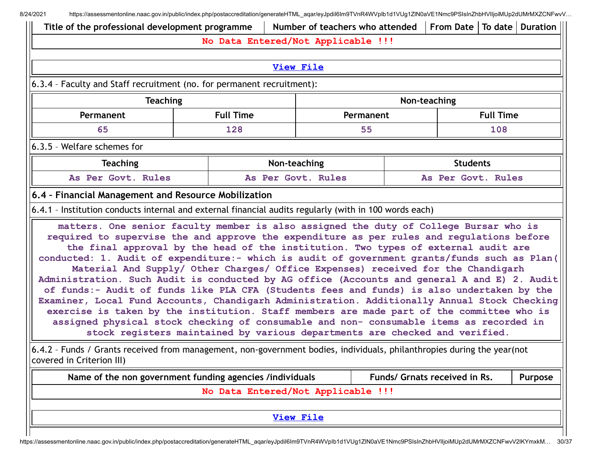8/24/2021 https://assessmentonline.naac.gov.in/public/index.php/postaccreditation/generateHTML aqar/eyJpdil6Im9TVnR4WVpIb1d1VUg1ZlN0aVE1Nmc9PSIsInZhbHVIIjoiMUp2dUMrMXZCNFwvV...

| Title of the professional development programme                                                                                                          |                                                                                                                                                                                                                                                                                                                                                                                                                                                                                                                                                                                                                                                                                                                                                                                                                                                                                                                                                                                                                                   |                                    |              | Number of teachers who attended |           |  | From Date   To date   Duration |                  |         |  |  |
|----------------------------------------------------------------------------------------------------------------------------------------------------------|-----------------------------------------------------------------------------------------------------------------------------------------------------------------------------------------------------------------------------------------------------------------------------------------------------------------------------------------------------------------------------------------------------------------------------------------------------------------------------------------------------------------------------------------------------------------------------------------------------------------------------------------------------------------------------------------------------------------------------------------------------------------------------------------------------------------------------------------------------------------------------------------------------------------------------------------------------------------------------------------------------------------------------------|------------------------------------|--------------|---------------------------------|-----------|--|--------------------------------|------------------|---------|--|--|
|                                                                                                                                                          |                                                                                                                                                                                                                                                                                                                                                                                                                                                                                                                                                                                                                                                                                                                                                                                                                                                                                                                                                                                                                                   | No Data Entered/Not Applicable !!! |              |                                 |           |  |                                |                  |         |  |  |
| <b>View File</b>                                                                                                                                         |                                                                                                                                                                                                                                                                                                                                                                                                                                                                                                                                                                                                                                                                                                                                                                                                                                                                                                                                                                                                                                   |                                    |              |                                 |           |  |                                |                  |         |  |  |
| 6.3.4 - Faculty and Staff recruitment (no. for permanent recruitment):                                                                                   |                                                                                                                                                                                                                                                                                                                                                                                                                                                                                                                                                                                                                                                                                                                                                                                                                                                                                                                                                                                                                                   |                                    |              |                                 |           |  |                                |                  |         |  |  |
|                                                                                                                                                          | <b>Teaching</b><br>Non-teaching                                                                                                                                                                                                                                                                                                                                                                                                                                                                                                                                                                                                                                                                                                                                                                                                                                                                                                                                                                                                   |                                    |              |                                 |           |  |                                |                  |         |  |  |
| Permanent                                                                                                                                                |                                                                                                                                                                                                                                                                                                                                                                                                                                                                                                                                                                                                                                                                                                                                                                                                                                                                                                                                                                                                                                   | <b>Full Time</b>                   |              |                                 | Permanent |  |                                | <b>Full Time</b> |         |  |  |
| 65                                                                                                                                                       |                                                                                                                                                                                                                                                                                                                                                                                                                                                                                                                                                                                                                                                                                                                                                                                                                                                                                                                                                                                                                                   | 128                                |              |                                 | 55        |  |                                | 108              |         |  |  |
| 6.3.5 - Welfare schemes for                                                                                                                              |                                                                                                                                                                                                                                                                                                                                                                                                                                                                                                                                                                                                                                                                                                                                                                                                                                                                                                                                                                                                                                   |                                    |              |                                 |           |  |                                |                  |         |  |  |
| <b>Teaching</b>                                                                                                                                          |                                                                                                                                                                                                                                                                                                                                                                                                                                                                                                                                                                                                                                                                                                                                                                                                                                                                                                                                                                                                                                   |                                    | Non-teaching |                                 |           |  | <b>Students</b>                |                  |         |  |  |
| As Per Govt. Rules                                                                                                                                       |                                                                                                                                                                                                                                                                                                                                                                                                                                                                                                                                                                                                                                                                                                                                                                                                                                                                                                                                                                                                                                   |                                    |              | As Per Govt. Rules              |           |  | As Per Govt. Rules             |                  |         |  |  |
| 6.4 - Financial Management and Resource Mobilization                                                                                                     |                                                                                                                                                                                                                                                                                                                                                                                                                                                                                                                                                                                                                                                                                                                                                                                                                                                                                                                                                                                                                                   |                                    |              |                                 |           |  |                                |                  |         |  |  |
| 6.4.1 - Institution conducts internal and external financial audits regularly (with in 100 words each)                                                   |                                                                                                                                                                                                                                                                                                                                                                                                                                                                                                                                                                                                                                                                                                                                                                                                                                                                                                                                                                                                                                   |                                    |              |                                 |           |  |                                |                  |         |  |  |
|                                                                                                                                                          | matters. One senior faculty member is also assigned the duty of College Bursar who is<br>required to supervise the and approve the expenditure as per rules and regulations before<br>the final approval by the head of the institution. Two types of external audit are<br>conducted: 1. Audit of expenditure:- which is audit of government grants/funds such as Plan(<br>Material And Supply/ Other Charges/ Office Expenses) received for the Chandigarh<br>Administration. Such Audit is conducted by AG office (Accounts and general A and E) 2. Audit<br>of funds:- Audit of funds like PLA CFA (Students fees and funds) is also undertaken by the<br>Examiner, Local Fund Accounts, Chandigarh Administration. Additionally Annual Stock Checking<br>exercise is taken by the institution. Staff members are made part of the committee who is<br>assigned physical stock checking of consumable and non- consumable items as recorded in<br>stock registers maintained by various departments are checked and verified. |                                    |              |                                 |           |  |                                |                  |         |  |  |
| $ $ 6.4.2 - Funds / Grants received from management, non-government bodies, individuals, philanthropies during the year(not<br>covered in Criterion III) |                                                                                                                                                                                                                                                                                                                                                                                                                                                                                                                                                                                                                                                                                                                                                                                                                                                                                                                                                                                                                                   |                                    |              |                                 |           |  |                                |                  |         |  |  |
| Name of the non government funding agencies /individuals                                                                                                 |                                                                                                                                                                                                                                                                                                                                                                                                                                                                                                                                                                                                                                                                                                                                                                                                                                                                                                                                                                                                                                   |                                    |              |                                 |           |  | Funds/ Grnats received in Rs.  |                  | Purpose |  |  |
|                                                                                                                                                          |                                                                                                                                                                                                                                                                                                                                                                                                                                                                                                                                                                                                                                                                                                                                                                                                                                                                                                                                                                                                                                   | No Data Entered/Not Applicable !!! |              |                                 |           |  |                                |                  |         |  |  |
|                                                                                                                                                          |                                                                                                                                                                                                                                                                                                                                                                                                                                                                                                                                                                                                                                                                                                                                                                                                                                                                                                                                                                                                                                   |                                    |              | <b>View File</b>                |           |  |                                |                  |         |  |  |
|                                                                                                                                                          |                                                                                                                                                                                                                                                                                                                                                                                                                                                                                                                                                                                                                                                                                                                                                                                                                                                                                                                                                                                                                                   |                                    |              |                                 |           |  |                                |                  |         |  |  |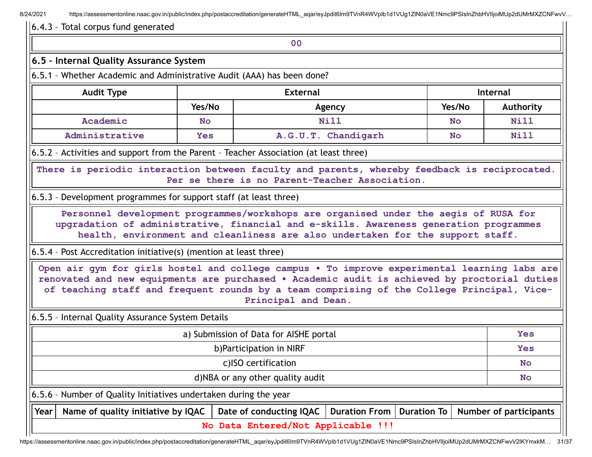8/24/2021 https://assessmentonline.naac.gov.in/public/index.php/postaccreditation/generateHTML\_aqar/eyJpdil6Im9TVnR4WVpIb1d1VUq1ZlN0aVE1Nmc9PSIsInZhbHVIIjoiMUp2dUMrMXZCNFwvV...

#### 6.4.3 – Total corpus fund generated

#### **00**

### **6.5 – Internal Quality Assurance System**

6.5.1 – Whether Academic and Administrative Audit (AAA) has been done?

| <b>Audit Type</b> | <b>External</b> |                     |           | <b>Internal</b> |
|-------------------|-----------------|---------------------|-----------|-----------------|
|                   | Yes/No          | Agency              | Yes/No    | Authority       |
| Academic          | <b>No</b>       | Nill                | <b>No</b> | <b>Nill</b>     |
| Administrative    | <b>Yes</b>      | A.G.U.T. Chandigarh | No        | Nill            |

6.5.2 – Activities and support from the Parent – Teacher Association (at least three)

**There is periodic interaction between faculty and parents, whereby feedback is reciprocated. Per se there is no Parent-Teacher Association.**

6.5.3 – Development programmes for support staff (at least three)

**Personnel development programmes/workshops are organised under the aegis of RUSA for upgradation of administrative, financial and e-skills. Awareness generation programmes health, environment and cleanliness are also undertaken for the support staff.**

6.5.4 – Post Accreditation initiative(s) (mention at least three)

**Open air gym for girls hostel and college campus • To improve experimental learning labs are renovated and new equipments are purchased • Academic audit is achieved by proctorial duties of teaching staff and frequent rounds by a team comprising of the College Principal, Vice-Principal and Dean.**

6.5.5 – Internal Quality Assurance System Details

|                                  |                                                                                                                       | <b>Yes</b>                         |  |  |  |  |  |  |  |  |  |
|----------------------------------|-----------------------------------------------------------------------------------------------------------------------|------------------------------------|--|--|--|--|--|--|--|--|--|
|                                  | b) Participation in NIRF                                                                                              |                                    |  |  |  |  |  |  |  |  |  |
|                                  | c)ISO certification                                                                                                   |                                    |  |  |  |  |  |  |  |  |  |
| d)NBA or any other quality audit |                                                                                                                       |                                    |  |  |  |  |  |  |  |  |  |
|                                  | $\vert$ 6.5.6 - Number of Quality Initiatives undertaken during the year                                              |                                    |  |  |  |  |  |  |  |  |  |
| Year                             | Duration From   Duration To   Number of participants<br>Name of quality initiative by IQAC<br>Date of conducting IQAC |                                    |  |  |  |  |  |  |  |  |  |
|                                  |                                                                                                                       | No Data Entered/Not Applicable !!! |  |  |  |  |  |  |  |  |  |

https://assessmentonline.naac.gov.in/public/index.php/postaccreditation/generateHTML\_aqar/eyJpdiI6Im9TVnR4WVpIb1d1VUg1ZlN0aVE1Nmc9PSIsInZhbHVlIjoiMUp2dUMrMXZCNFwvV2lKYmxkM… 31/37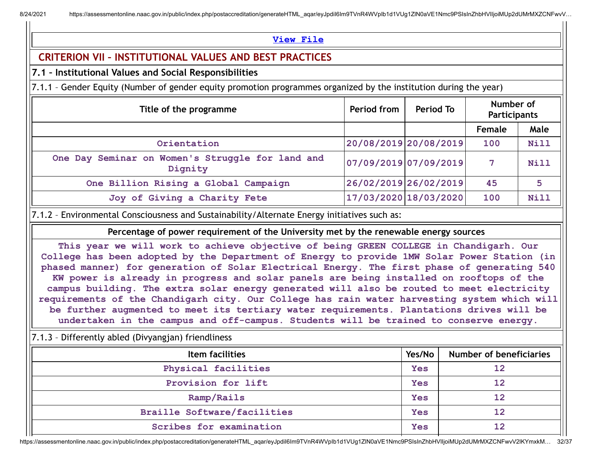## **[View](https://assessmentonline.naac.gov.in/public/Postacc/Quality_Initiatives_B/10691_Quality_Initiatives_B_1627031113.xlsx) File**

## **CRITERION VII – INSTITUTIONAL VALUES AND BEST PRACTICES**

## **7.1 – Institutional Values and Social Responsibilities**

7.1.1 – Gender Equity (Number of gender equity promotion programmes organized by the institution during the year)

| Title of the programme                                      | Period from | Period To             | Number of<br>Participants |             |
|-------------------------------------------------------------|-------------|-----------------------|---------------------------|-------------|
|                                                             |             |                       | <b>Female</b>             | Male        |
| Orientation                                                 |             | 20/08/2019 20/08/2019 | 100                       | Nill        |
| One Day Seminar on Women's Struggle for land and<br>Dignity |             | 07/09/2019 07/09/2019 |                           | <b>Nill</b> |
| One Billion Rising a Global Campaign                        |             | 26/02/2019 26/02/2019 | 45                        | 5           |
| Joy of Giving a Charity Fete                                |             | 17/03/2020 18/03/2020 | 100                       | Nill        |

7.1.2 – Environmental Consciousness and Sustainability/Alternate Energy initiatives such as:

**Percentage of power requirement of the University met by the renewable energy sources**

**This year we will work to achieve objective of being GREEN COLLEGE in Chandigarh. Our College has been adopted by the Department of Energy to provide 1MW Solar Power Station (in phased manner) for generation of Solar Electrical Energy. The first phase of generating 540 KW power is already in progress and solar panels are being installed on rooftops of the campus building. The extra solar energy generated will also be routed to meet electricity requirements of the Chandigarh city. Our College has rain water harvesting system which will be further augmented to meet its tertiary water requirements. Plantations drives will be undertaken in the campus and off-campus. Students will be trained to conserve energy.**

## 7.1.3 – Differently abled (Divyangjan) friendliness

| Item facilities                    | Yes/No | <b>Number of beneficiaries</b> |
|------------------------------------|--------|--------------------------------|
| Physical facilities                | Yes    | 12                             |
| Provision for lift                 | Yes    | 12                             |
| Ramp/Rails                         | Yes    | 12                             |
| <b>Braille Software/facilities</b> | Yes    | 12                             |
| Scribes for examination            | Yes    | 12                             |

https://assessmentonline.naac.gov.in/public/index.php/postaccreditation/generateHTML\_aqar/eyJpdiI6Im9TVnR4WVpIb1d1VUg1ZlN0aVE1Nmc9PSIsInZhbHVlIjoiMUp2dUMrMXZCNFwvV2lKYmxkM… 32/37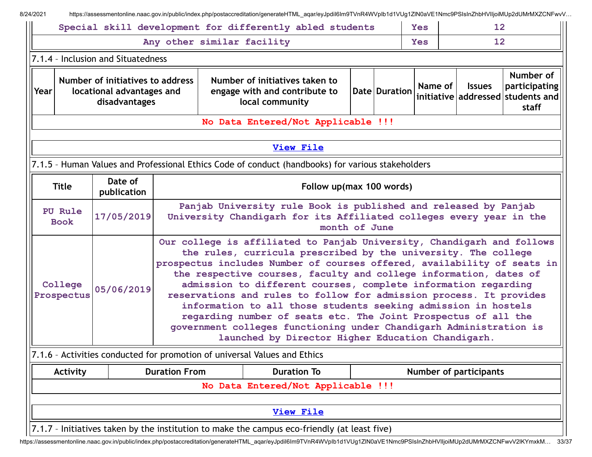|                                                                                                                                                                                                                                                                                                                                                                                                                                                                                                                                                                                                                                                                                                                                         |                                                                                |                                                                             | Special skill development for differently abled students                                          |  |               | <b>Yes</b> | 12            |                                                                          |
|-----------------------------------------------------------------------------------------------------------------------------------------------------------------------------------------------------------------------------------------------------------------------------------------------------------------------------------------------------------------------------------------------------------------------------------------------------------------------------------------------------------------------------------------------------------------------------------------------------------------------------------------------------------------------------------------------------------------------------------------|--------------------------------------------------------------------------------|-----------------------------------------------------------------------------|---------------------------------------------------------------------------------------------------|--|---------------|------------|---------------|--------------------------------------------------------------------------|
|                                                                                                                                                                                                                                                                                                                                                                                                                                                                                                                                                                                                                                                                                                                                         |                                                                                | Any other similar facility                                                  |                                                                                                   |  |               | <b>Yes</b> | 12            |                                                                          |
|                                                                                                                                                                                                                                                                                                                                                                                                                                                                                                                                                                                                                                                                                                                                         | 7.1.4 - Inclusion and Situatedness                                             |                                                                             |                                                                                                   |  |               |            |               |                                                                          |
| Year                                                                                                                                                                                                                                                                                                                                                                                                                                                                                                                                                                                                                                                                                                                                    | Number of initiatives to address<br>locational advantages and<br>disadvantages |                                                                             | Number of initiatives taken to<br>engage with and contribute to<br>local community                |  | Date Duration | Name of    | <b>Issues</b> | Number of<br>participating<br>initiative addressed students and<br>staff |
|                                                                                                                                                                                                                                                                                                                                                                                                                                                                                                                                                                                                                                                                                                                                         |                                                                                |                                                                             | No Data Entered/Not Applicable !!!                                                                |  |               |            |               |                                                                          |
|                                                                                                                                                                                                                                                                                                                                                                                                                                                                                                                                                                                                                                                                                                                                         |                                                                                |                                                                             | <b>View File</b>                                                                                  |  |               |            |               |                                                                          |
|                                                                                                                                                                                                                                                                                                                                                                                                                                                                                                                                                                                                                                                                                                                                         |                                                                                |                                                                             | 7.1.5 - Human Values and Professional Ethics Code of conduct (handbooks) for various stakeholders |  |               |            |               |                                                                          |
| <b>Title</b>                                                                                                                                                                                                                                                                                                                                                                                                                                                                                                                                                                                                                                                                                                                            | Date of<br>publication                                                         |                                                                             | Follow up(max 100 words)                                                                          |  |               |            |               |                                                                          |
| Panjab University rule Book is published and released by Panjab<br>PU Rule<br>17/05/2019<br>University Chandigarh for its Affiliated colleges every year in the<br><b>Book</b><br>month of June                                                                                                                                                                                                                                                                                                                                                                                                                                                                                                                                         |                                                                                |                                                                             |                                                                                                   |  |               |            |               |                                                                          |
| Our college is affiliated to Panjab University, Chandigarh and follows<br>the rules, curricula prescribed by the university. The college<br>prospectus includes Number of courses offered, availability of seats in<br>the respective courses, faculty and college information, dates of<br>admission to different courses, complete information regarding<br>College<br>05/06/2019<br>Prospectus<br>reservations and rules to follow for admission process. It provides<br>information to all those students seeking admission in hostels<br>regarding number of seats etc. The Joint Prospectus of all the<br>government colleges functioning under Chandigarh Administration is<br>launched by Director Higher Education Chandigarh. |                                                                                |                                                                             |                                                                                                   |  |               |            |               |                                                                          |
|                                                                                                                                                                                                                                                                                                                                                                                                                                                                                                                                                                                                                                                                                                                                         |                                                                                |                                                                             | 7.1.6 - Activities conducted for promotion of universal Values and Ethics                         |  |               |            |               |                                                                          |
| Activity                                                                                                                                                                                                                                                                                                                                                                                                                                                                                                                                                                                                                                                                                                                                |                                                                                | <b>Duration From</b><br><b>Duration To</b><br><b>Number of participants</b> |                                                                                                   |  |               |            |               |                                                                          |
|                                                                                                                                                                                                                                                                                                                                                                                                                                                                                                                                                                                                                                                                                                                                         |                                                                                |                                                                             | No Data Entered/Not Applicable !!!                                                                |  |               |            |               |                                                                          |
|                                                                                                                                                                                                                                                                                                                                                                                                                                                                                                                                                                                                                                                                                                                                         |                                                                                |                                                                             |                                                                                                   |  |               |            |               |                                                                          |

https://assessmentonline.naac.gov.in/public/index.php/postaccreditation/generateHTML\_aqar/eyJpdiI6Im9TVnR4WVpIb1d1VUg1ZlN0aVE1Nmc9PSIsInZhbHVlIjoiMUp2dUMrMXZCNFwvV2lKYmxkM… 33/37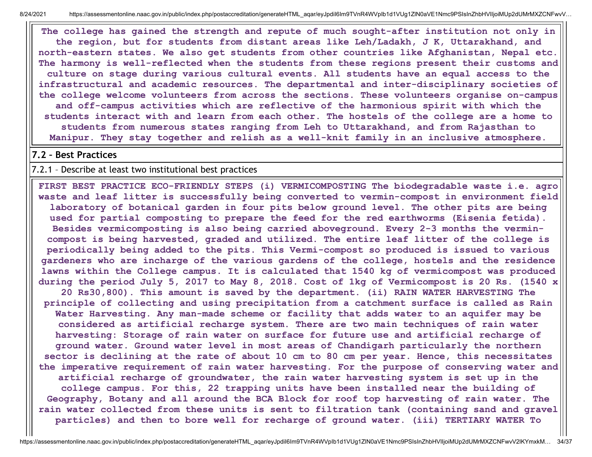8/24/2021 https://assessmentonline.naac.gov.in/public/index.php/postaccreditation/generateHTML\_aqar/eyJpdil6Im9TVnR4WVpIb1d1VUq1ZlN0aVE1Nmc9PSIsInZhbHVIIjoiMUp2dUMrMXZCNFwvV...

**The college has gained the strength and repute of much sought-after institution not only in the region, but for students from distant areas like Leh/Ladakh, J K, Uttarakhand, and north-eastern states. We also get students from other countries like Afghanistan, Nepal etc. The harmony is well-reflected when the students from these regions present their customs and culture on stage during various cultural events. All students have an equal access to the infrastructural and academic resources. The departmental and inter-disciplinary societies of the college welcome volunteers from across the sections. These volunteers organise on-campus and off-campus activities which are reflective of the harmonious spirit with which the students interact with and learn from each other. The hostels of the college are a home to students from numerous states ranging from Leh to Uttarakhand, and from Rajasthan to Manipur. They stay together and relish as a well-knit family in an inclusive atmosphere.**

#### **7.2 – Best Practices**

7.2.1 – Describe at least two institutional best practices

**FIRST BEST PRACTICE ECO-FRIENDLY STEPS (i) VERMICOMPOSTING The biodegradable waste i.e. agro waste and leaf litter is successfully being converted to vermin-compost in environment field laboratory of botanical garden in four pits below ground level. The other pits are being used for partial composting to prepare the feed for the red earthworms (Eisenia fetida). Besides vermicomposting is also being carried aboveground. Every 2-3 months the vermincompost is being harvested, graded and utilized. The entire leaf litter of the college is periodically being added to the pits. This Vermi-compost so produced is issued to various gardeners who are incharge of the various gardens of the college, hostels and the residence lawns within the College campus. It is calculated that 1540 kg of vermicompost was produced** during the period July 5, 2017 to May 8, 2018. Cost of 1kg of Vermicompost is 20 Rs. (1540 x

**20 Rs30,800). This amount is saved by the department. (ii) RAIN WATER HARVESTING The principle of collecting and using precipitation from a catchment surface is called as Rain Water Harvesting. Any man-made scheme or facility that adds water to an aquifer may be considered as artificial recharge system. There are two main techniques of rain water harvesting: Storage of rain water on surface for future use and artificial recharge of ground water. Ground water level in most areas of Chandigarh particularly the northern sector is declining at the rate of about 10 cm to 80 cm per year. Hence, this necessitates the imperative requirement of rain water harvesting. For the purpose of conserving water and artificial recharge of groundwater, the rain water harvesting system is set up in the college campus. For this, 22 trapping units have been installed near the building of Geography, Botany and all around the BCA Block for roof top harvesting of rain water. The rain water collected from these units is sent to filtration tank (containing sand and gravel particles) and then to bore well for recharge of ground water. (iii) TERTIARY WATER To**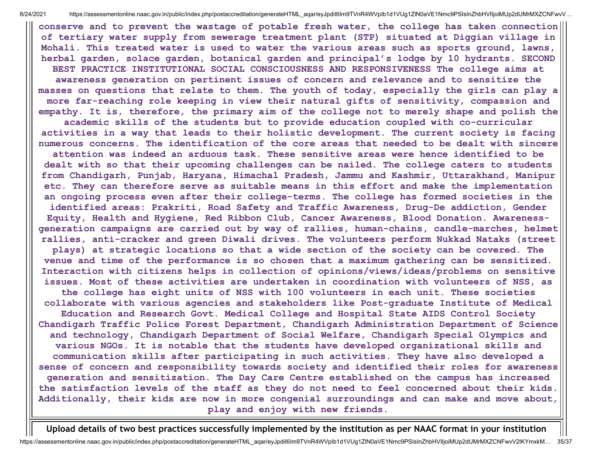**conserve and to prevent the wastage of potable fresh water, the college has taken connection of tertiary water supply from sewerage treatment plant (STP) situated at Diggian village in Mohali. This treated water is used to water the various areas such as sports ground, lawns, herbal garden, solace garden, botanical garden and principal's lodge by 10 hydrants. SECOND BEST PRACTICE INSTITUTIONAL SOCIAL CONSCIOUSNESS AND RESPONSIVENESS The college aims at awareness generation on pertinent issues of concern and relevance and to sensitize the masses on questions that relate to them. The youth of today, especially the girls can play a more far-reaching role keeping in view their natural gifts of sensitivity, compassion and empathy. It is, therefore, the primary aim of the college not to merely shape and polish the academic skills of the students but to provide education coupled with co-curricular activities in a way that leads to their holistic development. The current society is facing numerous concerns. The identification of the core areas that needed to be dealt with sincere attention was indeed an arduous task. These sensitive areas were hence identified to be dealt with so that their upcoming challenges can be nailed. The college caters to students from Chandigarh, Punjab, Haryana, Himachal Pradesh, Jammu and Kashmir, Uttarakhand, Manipur etc. They can therefore serve as suitable means in this effort and make the implementation an ongoing process even after their college-terms. The college has formed societies in the identified areas: Prakriti, Road Safety and Traffic Awareness, Drug-De addiction, Gender Equity, Health and Hygiene, Red Ribbon Club, Cancer Awareness, Blood Donation. Awarenessgeneration campaigns are carried out by way of rallies, human-chains, candle-marches, helmet rallies, anti-cracker and green Diwali drives. The volunteers perform Nukkad Nataks (street plays) at strategic locations so that a wide section of the society can be covered. The venue and time of the performance is so chosen that a maximum gathering can be sensitized. Interaction with citizens helps in collection of opinions/views/ideas/problems on sensitive issues. Most of these activities are undertaken in coordination with volunteers of NSS, as the college has eight units of NSS with 100 volunteers in each unit. These societies collaborate with various agencies and stakeholders like Post-graduate Institute of Medical Education and Research Govt. Medical College and Hospital State AIDS Control Society Chandigarh Traffic Police Forest Department, Chandigarh Administration Department of Science and technology, Chandigarh Department of Social Welfare, Chandigarh Special Olympics and various NGOs. It is notable that the students have developed organizational skills and communication skills after participating in such activities. They have also developed a sense of concern and responsibility towards society and identified their roles for awareness generation and sensitization. The Day Care Centre established on the campus has increased the satisfaction levels of the staff as they do not need to feel concerned about their kids. Additionally, their kids are now in more congenial surroundings and can make and move about, play and enjoy with new friends.**

**Upload details of two best practices successfully implemented by the institution as per NAAC format in your institution**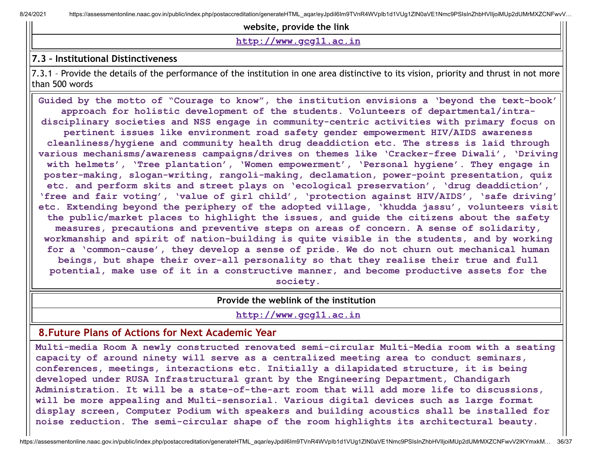**website, provide the link**

**[http://www.gcg11.ac.in](http://www.gcg11.ac.in/)**

#### **7.3 – Institutional Distinctiveness**

7.3.1 – Provide the details of the performance of the institution in one area distinctive to its vision, priority and thrust in not more than 500 words

**Guided by the motto of "Courage to know", the institution envisions a 'beyond the text-book' approach for holistic development of the students. Volunteers of departmental/intradisciplinary societies and NSS engage in community-centric activities with primary focus on pertinent issues like environment road safety gender empowerment HIV/AIDS awareness cleanliness/hygiene and community health drug deaddiction etc. The stress is laid through various mechanisms/awareness campaigns/drives on themes like 'Cracker-free Diwali', 'Driving with helmets', 'Tree plantation', 'Women empowerment', 'Personal hygiene'. They engage in poster-making, slogan-writing, rangoli-making, declamation, power-point presentation, quiz etc. and perform skits and street plays on 'ecological preservation', 'drug deaddiction', 'free and fair voting', 'value of girl child', 'protection against HIV/AIDS', 'safe driving' etc. Extending beyond the periphery of the adopted village, 'khudda jassu', volunteers visit the public/market places to highlight the issues, and guide the citizens about the safety measures, precautions and preventive steps on areas of concern. A sense of solidarity, workmanship and spirit of nation-building is quite visible in the students, and by working for a 'common-cause', they develop a sense of pride. We do not churn out mechanical human beings, but shape their over-all personality so that they realise their true and full potential, make use of it in a constructive manner, and become productive assets for the society.**

**Provide the weblink of the institution**

**[http://www.gcg11.ac.in](http://www.gcg11.ac.in/)**

## **8.Future Plans of Actions for Next Academic Year**

**Multi-media Room A newly constructed renovated semi-circular Multi-Media room with a seating capacity of around ninety will serve as a centralized meeting area to conduct seminars, conferences, meetings, interactions etc. Initially a dilapidated structure, it is being developed under RUSA Infrastructural grant by the Engineering Department, Chandigarh Administration. It will be a state-of-the-art room that will add more life to discussions, will be more appealing and Multi-sensorial. Various digital devices such as large format display screen, Computer Podium with speakers and building acoustics shall be installed for noise reduction. The semi-circular shape of the room highlights its architectural beauty.**